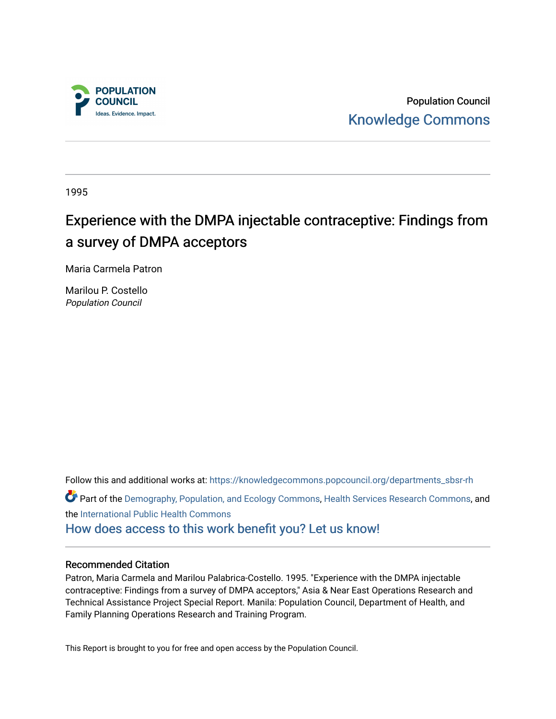

Population Council [Knowledge Commons](https://knowledgecommons.popcouncil.org/) 

1995

# Experience with the DMPA injectable contraceptive: Findings from a survey of DMPA acceptors

Maria Carmela Patron

Marilou P. Costello Population Council

Follow this and additional works at: [https://knowledgecommons.popcouncil.org/departments\\_sbsr-rh](https://knowledgecommons.popcouncil.org/departments_sbsr-rh?utm_source=knowledgecommons.popcouncil.org%2Fdepartments_sbsr-rh%2F2088&utm_medium=PDF&utm_campaign=PDFCoverPages)  Part of the [Demography, Population, and Ecology Commons,](https://network.bepress.com/hgg/discipline/418?utm_source=knowledgecommons.popcouncil.org%2Fdepartments_sbsr-rh%2F2088&utm_medium=PDF&utm_campaign=PDFCoverPages) [Health Services Research Commons,](https://network.bepress.com/hgg/discipline/816?utm_source=knowledgecommons.popcouncil.org%2Fdepartments_sbsr-rh%2F2088&utm_medium=PDF&utm_campaign=PDFCoverPages) and the [International Public Health Commons](https://network.bepress.com/hgg/discipline/746?utm_source=knowledgecommons.popcouncil.org%2Fdepartments_sbsr-rh%2F2088&utm_medium=PDF&utm_campaign=PDFCoverPages) 

[How does access to this work benefit you? Let us know!](https://pcouncil.wufoo.com/forms/open-access-to-population-council-research/)

#### Recommended Citation

Patron, Maria Carmela and Marilou Palabrica-Costello. 1995. "Experience with the DMPA injectable contraceptive: Findings from a survey of DMPA acceptors," Asia & Near East Operations Research and Technical Assistance Project Special Report. Manila: Population Council, Department of Health, and Family Planning Operations Research and Training Program.

This Report is brought to you for free and open access by the Population Council.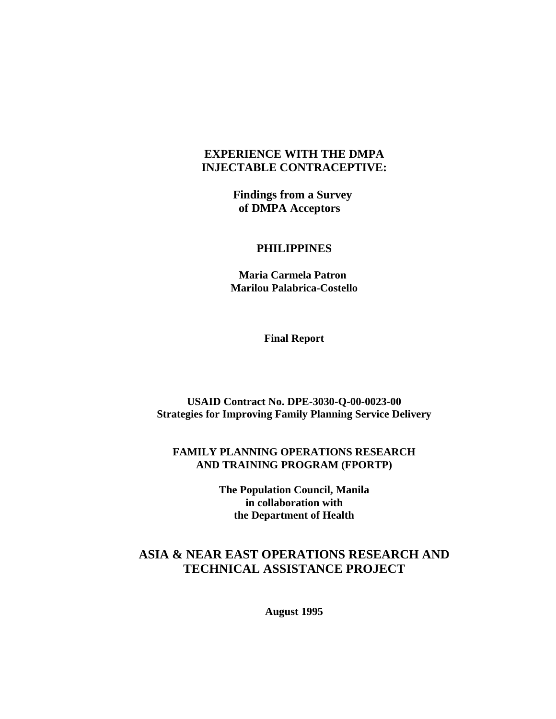# **EXPERIENCE WITH THE DMPA INJECTABLE CONTRACEPTIVE:**

**Findings from a Survey of DMPA Acceptors** 

# **PHILIPPINES**

 **Maria Carmela Patron Marilou Palabrica-Costello**

**Final Report**

**USAID Contract No. DPE-3030-Q-00-0023-00 Strategies for Improving Family Planning Service Delivery**

# **FAMILY PLANNING OPERATIONS RESEARCH AND TRAINING PROGRAM (FPORTP)**

**The Population Council, Manila in collaboration with the Department of Health**

# **ASIA & NEAR EAST OPERATIONS RESEARCH AND TECHNICAL ASSISTANCE PROJECT**

**August 1995**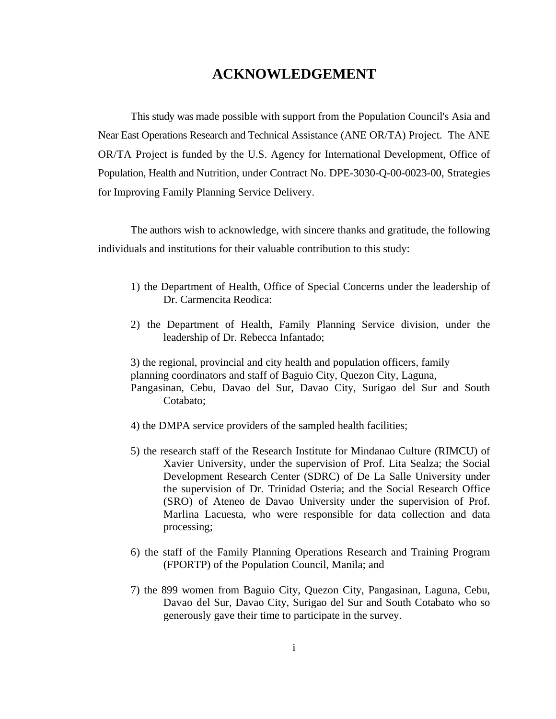# **ACKNOWLEDGEMENT**

This study was made possible with support from the Population Council's Asia and Near East Operations Research and Technical Assistance (ANE OR/TA) Project. The ANE OR/TA Project is funded by the U.S. Agency for International Development, Office of Population, Health and Nutrition, under Contract No. DPE-3030-Q-00-0023-00, Strategies for Improving Family Planning Service Delivery.

The authors wish to acknowledge, with sincere thanks and gratitude, the following individuals and institutions for their valuable contribution to this study:

- 1) the Department of Health, Office of Special Concerns under the leadership of Dr. Carmencita Reodica:
- 2) the Department of Health, Family Planning Service division, under the leadership of Dr. Rebecca Infantado;

3) the regional, provincial and city health and population officers, family planning coordinators and staff of Baguio City, Quezon City, Laguna, Pangasinan, Cebu, Davao del Sur, Davao City, Surigao del Sur and South Cotabato;

- 4) the DMPA service providers of the sampled health facilities;
- 5) the research staff of the Research Institute for Mindanao Culture (RIMCU) of Xavier University, under the supervision of Prof. Lita Sealza; the Social Development Research Center (SDRC) of De La Salle University under the supervision of Dr. Trinidad Osteria; and the Social Research Office (SRO) of Ateneo de Davao University under the supervision of Prof. Marlina Lacuesta, who were responsible for data collection and data processing;
- 6) the staff of the Family Planning Operations Research and Training Program (FPORTP) of the Population Council, Manila; and
- 7) the 899 women from Baguio City, Quezon City, Pangasinan, Laguna, Cebu, Davao del Sur, Davao City, Surigao del Sur and South Cotabato who so generously gave their time to participate in the survey.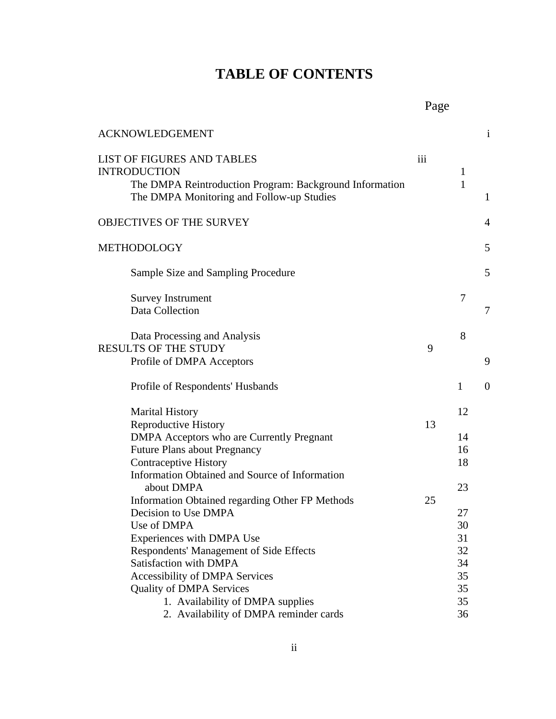# **TABLE OF CONTENTS**

| <b>ACKNOWLEDGEMENT</b>                                                                                                                                                                                                      |     |                              | $\mathbf{1}$     |
|-----------------------------------------------------------------------------------------------------------------------------------------------------------------------------------------------------------------------------|-----|------------------------------|------------------|
| LIST OF FIGURES AND TABLES<br><b>INTRODUCTION</b><br>The DMPA Reintroduction Program: Background Information<br>The DMPA Monitoring and Follow-up Studies                                                                   | iii | $\mathbf{1}$<br>$\mathbf{1}$ | $\mathbf{1}$     |
| <b>OBJECTIVES OF THE SURVEY</b>                                                                                                                                                                                             |     |                              | $\overline{4}$   |
| METHODOLOGY                                                                                                                                                                                                                 |     |                              | 5                |
| Sample Size and Sampling Procedure                                                                                                                                                                                          |     |                              | 5                |
| <b>Survey Instrument</b><br>Data Collection                                                                                                                                                                                 |     | 7                            | 7                |
| Data Processing and Analysis<br><b>RESULTS OF THE STUDY</b><br>Profile of DMPA Acceptors                                                                                                                                    | 9   | 8                            | 9                |
| Profile of Respondents' Husbands                                                                                                                                                                                            |     | $\mathbf{1}$                 | $\boldsymbol{0}$ |
| <b>Marital History</b><br><b>Reproductive History</b><br>DMPA Acceptors who are Currently Pregnant<br><b>Future Plans about Pregnancy</b><br><b>Contraceptive History</b><br>Information Obtained and Source of Information | 13  | 12<br>14<br>16<br>18         |                  |
| about DMPA<br>Information Obtained regarding Other FP Methods<br>Decision to Use DMPA<br>Use of DMPA<br>Experiences with DMPA Use                                                                                           | 25  | 23<br>27<br>30<br>31         |                  |
| Respondents' Management of Side Effects<br>Satisfaction with DMPA<br><b>Accessibility of DMPA Services</b><br><b>Quality of DMPA Services</b><br>1. Availability of DMPA supplies                                           |     | 32<br>34<br>35<br>35<br>35   |                  |
| 2. Availability of DMPA reminder cards                                                                                                                                                                                      |     | 36                           |                  |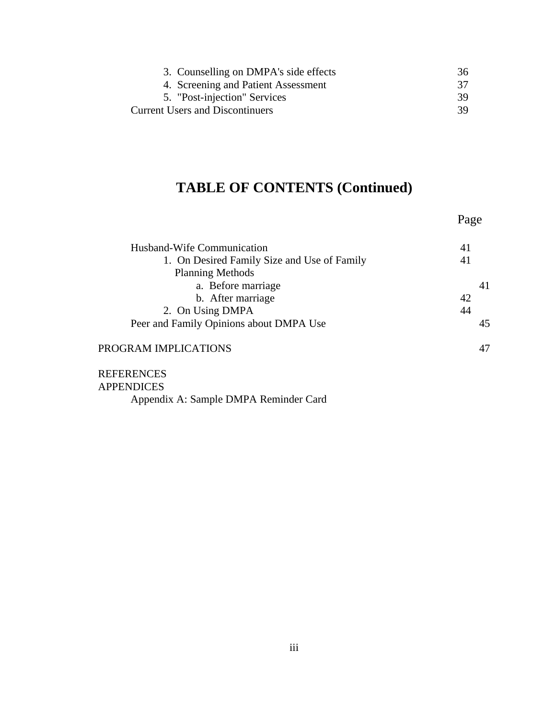| 3. Counselling on DMPA's side effects  | 36  |
|----------------------------------------|-----|
| 4. Screening and Patient Assessment    | 37  |
| 5. "Post-injection" Services           | -39 |
| <b>Current Users and Discontinuers</b> | -39 |

# **TABLE OF CONTENTS (Continued)**

|                                             | Page |
|---------------------------------------------|------|
| Husband-Wife Communication                  | 41   |
| 1. On Desired Family Size and Use of Family | 41   |
| <b>Planning Methods</b>                     |      |
| a. Before marriage                          | 41   |
| b. After marriage                           | 42   |
| 2. On Using DMPA                            | 44   |
| Peer and Family Opinions about DMPA Use     | 45   |
| PROGRAM IMPLICATIONS                        | 47   |
| <b>REFERENCES</b>                           |      |

APPENDICES Appendix A: Sample DMPA Reminder Card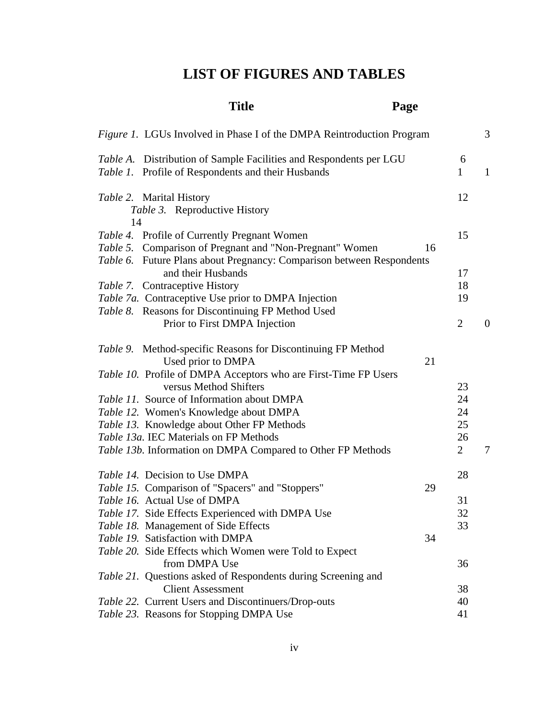# **LIST OF FIGURES AND TABLES**

# **Title Page**

| <i>Figure 1.</i> LGUs Involved in Phase I of the DMPA Reintroduction Program |                | 3                |
|------------------------------------------------------------------------------|----------------|------------------|
| Table A. Distribution of Sample Facilities and Respondents per LGU           | 6              |                  |
| Table 1. Profile of Respondents and their Husbands                           | $\mathbf{1}$   | $\mathbf{1}$     |
| Table 2. Marital History                                                     | 12             |                  |
| Table 3. Reproductive History                                                |                |                  |
| 14                                                                           |                |                  |
| Table 4. Profile of Currently Pregnant Women                                 | 15             |                  |
| Table 5. Comparison of Pregnant and "Non-Pregnant" Women<br>16               |                |                  |
| Table 6. Future Plans about Pregnancy: Comparison between Respondents        |                |                  |
| and their Husbands                                                           | 17             |                  |
| Table 7. Contraceptive History                                               | 18             |                  |
| Table 7a. Contraceptive Use prior to DMPA Injection                          | 19             |                  |
| Table 8. Reasons for Discontinuing FP Method Used                            |                |                  |
| Prior to First DMPA Injection                                                | $\overline{2}$ | $\boldsymbol{0}$ |
| Table 9. Method-specific Reasons for Discontinuing FP Method                 |                |                  |
| Used prior to DMPA<br>21                                                     |                |                  |
| Table 10. Profile of DMPA Acceptors who are First-Time FP Users              |                |                  |
| versus Method Shifters                                                       | 23             |                  |
| Table 11. Source of Information about DMPA                                   | 24             |                  |
| Table 12. Women's Knowledge about DMPA                                       | 24             |                  |
| Table 13. Knowledge about Other FP Methods                                   | 25             |                  |
| Table 13a. IEC Materials on FP Methods                                       | 26             |                  |
| Table 13b. Information on DMPA Compared to Other FP Methods                  | $\overline{2}$ | 7                |
|                                                                              |                |                  |
| <i>Table 14.</i> Decision to Use DMPA                                        | 28             |                  |
| Table 15. Comparison of "Spacers" and "Stoppers"<br>29                       |                |                  |
| Table 16. Actual Use of DMPA                                                 | 31             |                  |
| Table 17. Side Effects Experienced with DMPA Use                             | 32             |                  |
| Table 18. Management of Side Effects                                         | 33             |                  |
| Table 19. Satisfaction with DMPA<br>34                                       |                |                  |
| Table 20. Side Effects which Women were Told to Expect                       |                |                  |
| from DMPA Use                                                                | 36             |                  |
| Table 21. Questions asked of Respondents during Screening and                |                |                  |
| <b>Client Assessment</b>                                                     | 38             |                  |
| Table 22. Current Users and Discontinuers/Drop-outs                          | 40             |                  |
| Table 23. Reasons for Stopping DMPA Use                                      | 41             |                  |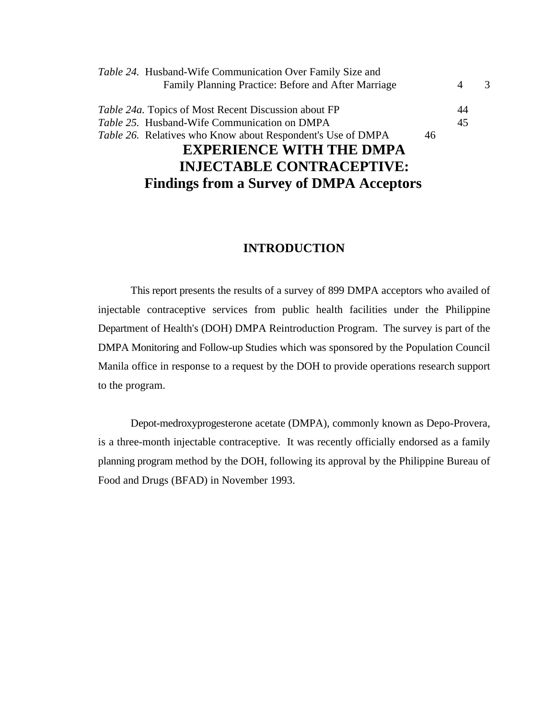| <b>INJECTABLE CONTRACEPTIVE:</b>                                   |    |                |               |
|--------------------------------------------------------------------|----|----------------|---------------|
| <b>EXPERIENCE WITH THE DMPA</b>                                    |    |                |               |
| <i>Table 26.</i> Relatives who Know about Respondent's Use of DMPA | 46 |                |               |
| Table 25. Husband-Wife Communication on DMPA                       |    | 45             |               |
| <i>Table 24a.</i> Topics of Most Recent Discussion about FP        |    | 44             |               |
| Family Planning Practice: Before and After Marriage                |    | $\overline{4}$ | $\mathcal{R}$ |
| Table 24. Husband-Wife Communication Over Family Size and          |    |                |               |

**Findings from a Survey of DMPA Acceptors** 

# **INTRODUCTION**

This report presents the results of a survey of 899 DMPA acceptors who availed of injectable contraceptive services from public health facilities under the Philippine Department of Health's (DOH) DMPA Reintroduction Program. The survey is part of the DMPA Monitoring and Follow-up Studies which was sponsored by the Population Council Manila office in response to a request by the DOH to provide operations research support to the program.

Depot-medroxyprogesterone acetate (DMPA), commonly known as Depo-Provera, is a three-month injectable contraceptive. It was recently officially endorsed as a family planning program method by the DOH, following its approval by the Philippine Bureau of Food and Drugs (BFAD) in November 1993.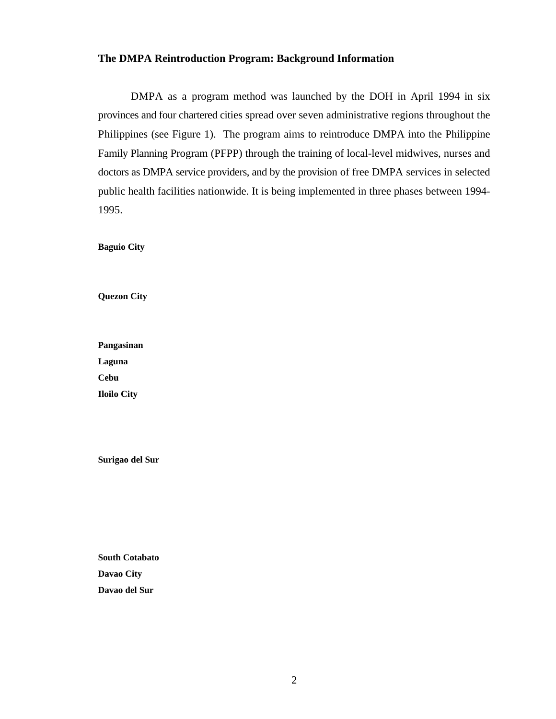#### **The DMPA Reintroduction Program: Background Information**

DMPA as a program method was launched by the DOH in April 1994 in six provinces and four chartered cities spread over seven administrative regions throughout the Philippines (see Figure 1). The program aims to reintroduce DMPA into the Philippine Family Planning Program (PFPP) through the training of local-level midwives, nurses and doctors as DMPA service providers, and by the provision of free DMPA services in selected public health facilities nationwide. It is being implemented in three phases between 1994- 1995.

**Baguio City**

**Quezon City**

**Pangasinan Laguna Cebu Iloilo City** 

**Surigao del Sur**

**South Cotabato Davao City Davao del Sur**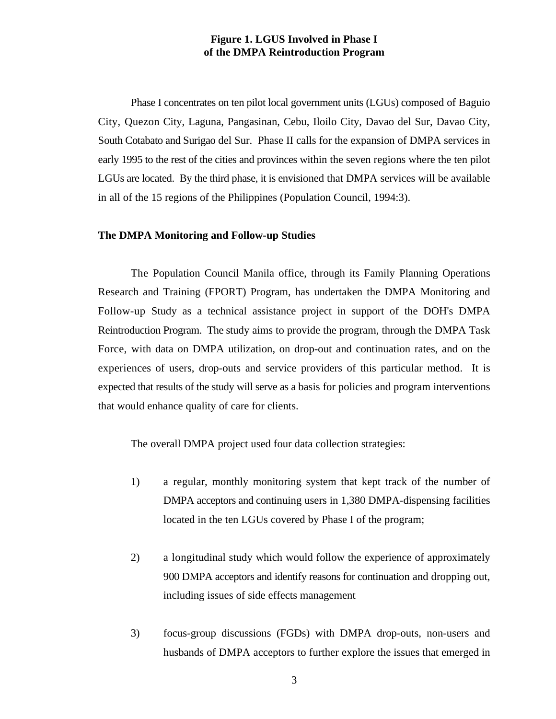# **Figure 1. LGUS Involved in Phase I of the DMPA Reintroduction Program**

Phase I concentrates on ten pilot local government units (LGUs) composed of Baguio City, Quezon City, Laguna, Pangasinan, Cebu, Iloilo City, Davao del Sur, Davao City, South Cotabato and Surigao del Sur. Phase II calls for the expansion of DMPA services in early 1995 to the rest of the cities and provinces within the seven regions where the ten pilot LGUs are located. By the third phase, it is envisioned that DMPA services will be available in all of the 15 regions of the Philippines (Population Council, 1994:3).

#### **The DMPA Monitoring and Follow-up Studies**

The Population Council Manila office, through its Family Planning Operations Research and Training (FPORT) Program, has undertaken the DMPA Monitoring and Follow-up Study as a technical assistance project in support of the DOH's DMPA Reintroduction Program. The study aims to provide the program, through the DMPA Task Force, with data on DMPA utilization, on drop-out and continuation rates, and on the experiences of users, drop-outs and service providers of this particular method. It is expected that results of the study will serve as a basis for policies and program interventions that would enhance quality of care for clients.

The overall DMPA project used four data collection strategies:

- 1) a regular, monthly monitoring system that kept track of the number of DMPA acceptors and continuing users in 1,380 DMPA-dispensing facilities located in the ten LGUs covered by Phase I of the program;
- 2) a longitudinal study which would follow the experience of approximately 900 DMPA acceptors and identify reasons for continuation and dropping out, including issues of side effects management
- 3) focus-group discussions (FGDs) with DMPA drop-outs, non-users and husbands of DMPA acceptors to further explore the issues that emerged in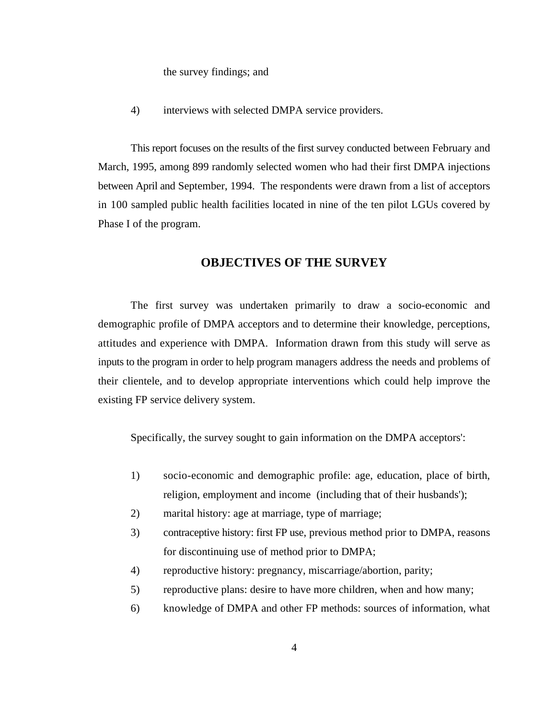the survey findings; and

4) interviews with selected DMPA service providers.

This report focuses on the results of the first survey conducted between February and March, 1995, among 899 randomly selected women who had their first DMPA injections between April and September, 1994. The respondents were drawn from a list of acceptors in 100 sampled public health facilities located in nine of the ten pilot LGUs covered by Phase I of the program.

# **OBJECTIVES OF THE SURVEY**

The first survey was undertaken primarily to draw a socio-economic and demographic profile of DMPA acceptors and to determine their knowledge, perceptions, attitudes and experience with DMPA. Information drawn from this study will serve as inputs to the program in order to help program managers address the needs and problems of their clientele, and to develop appropriate interventions which could help improve the existing FP service delivery system.

Specifically, the survey sought to gain information on the DMPA acceptors':

- 1) socio-economic and demographic profile: age, education, place of birth, religion, employment and income (including that of their husbands');
- 2) marital history: age at marriage, type of marriage;
- 3) contraceptive history: first FP use, previous method prior to DMPA, reasons for discontinuing use of method prior to DMPA;
- 4) reproductive history: pregnancy, miscarriage/abortion, parity;
- 5) reproductive plans: desire to have more children, when and how many;
- 6) knowledge of DMPA and other FP methods: sources of information, what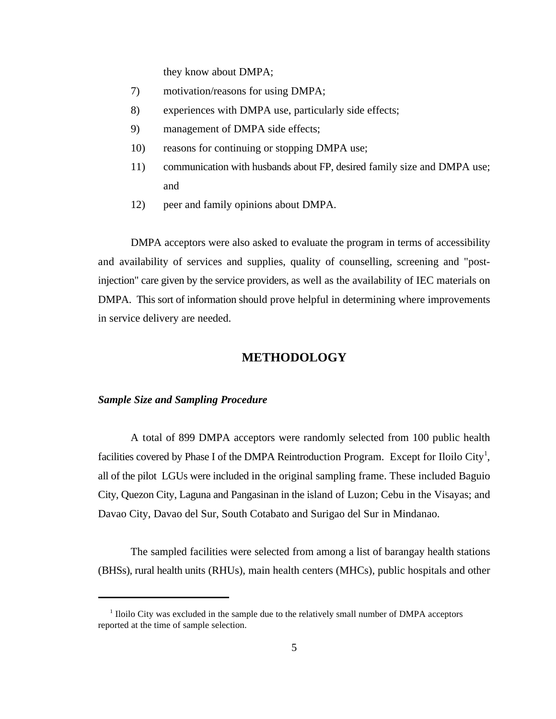they know about DMPA;

- 7) motivation/reasons for using DMPA;
- 8) experiences with DMPA use, particularly side effects;
- 9) management of DMPA side effects;
- 10) reasons for continuing or stopping DMPA use;
- 11) communication with husbands about FP, desired family size and DMPA use; and
- 12) peer and family opinions about DMPA.

DMPA acceptors were also asked to evaluate the program in terms of accessibility and availability of services and supplies, quality of counselling, screening and "postinjection" care given by the service providers, as well as the availability of IEC materials on DMPA. This sort of information should prove helpful in determining where improvements in service delivery are needed.

# **METHODOLOGY**

#### *Sample Size and Sampling Procedure*

A total of 899 DMPA acceptors were randomly selected from 100 public health facilities covered by Phase I of the DMPA Reintroduction Program. Except for Iloilo City<sup>1</sup>, all of the pilot LGUs were included in the original sampling frame. These included Baguio City, Quezon City, Laguna and Pangasinan in the island of Luzon; Cebu in the Visayas; and Davao City, Davao del Sur, South Cotabato and Surigao del Sur in Mindanao.

The sampled facilities were selected from among a list of barangay health stations (BHSs), rural health units (RHUs), main health centers (MHCs), public hospitals and other

 $<sup>1</sup>$  Iloilo City was excluded in the sample due to the relatively small number of DMPA acceptors</sup> reported at the time of sample selection.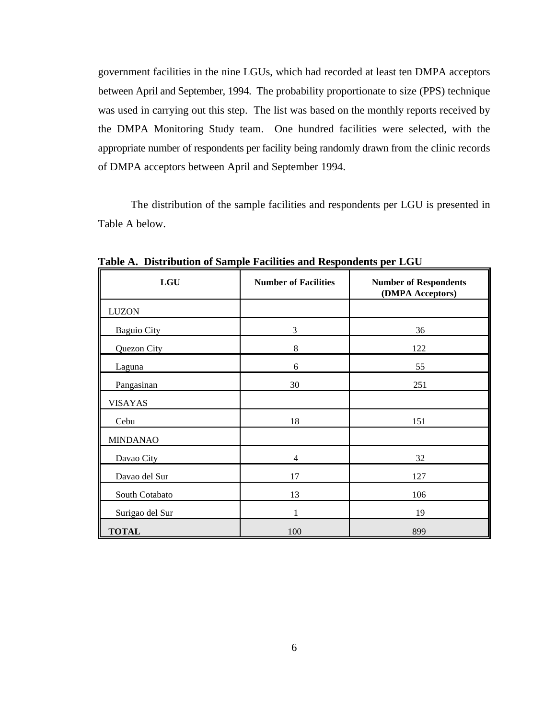government facilities in the nine LGUs, which had recorded at least ten DMPA acceptors between April and September, 1994. The probability proportionate to size (PPS) technique was used in carrying out this step. The list was based on the monthly reports received by the DMPA Monitoring Study team. One hundred facilities were selected, with the appropriate number of respondents per facility being randomly drawn from the clinic records of DMPA acceptors between April and September 1994.

The distribution of the sample facilities and respondents per LGU is presented in Table A below.

| LGU                | <b>Number of Facilities</b> | <b>Number of Respondents</b><br>(DMPA Acceptors) |
|--------------------|-----------------------------|--------------------------------------------------|
| <b>LUZON</b>       |                             |                                                  |
| <b>Baguio City</b> | 3                           | 36                                               |
| Quezon City        | 8                           | 122                                              |
| Laguna             | 6                           | 55                                               |
| Pangasinan         | 30                          | 251                                              |
| <b>VISAYAS</b>     |                             |                                                  |
| Cebu               | 18                          | 151                                              |
| <b>MINDANAO</b>    |                             |                                                  |
| Davao City         | $\overline{4}$              | 32                                               |
| Davao del Sur      | 17                          | 127                                              |
| South Cotabato     | 13                          | 106                                              |
| Surigao del Sur    | $\mathbf{1}$                | 19                                               |
| <b>TOTAL</b>       | 100                         | 899                                              |

**Table A. Distribution of Sample Facilities and Respondents per LGU**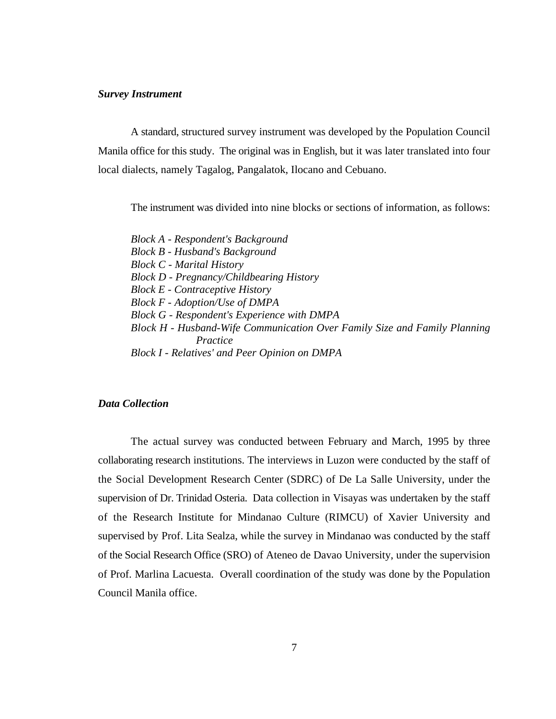#### *Survey Instrument*

A standard, structured survey instrument was developed by the Population Council Manila office for this study. The original was in English, but it was later translated into four local dialects, namely Tagalog, Pangalatok, Ilocano and Cebuano.

The instrument was divided into nine blocks or sections of information, as follows:

*Block A - Respondent's Background Block B - Husband's Background Block C - Marital History Block D - Pregnancy/Childbearing History Block E - Contraceptive History Block F - Adoption/Use of DMPA Block G - Respondent's Experience with DMPA Block H - Husband-Wife Communication Over Family Size and Family Planning Practice Block I - Relatives' and Peer Opinion on DMPA*

### *Data Collection*

The actual survey was conducted between February and March, 1995 by three collaborating research institutions. The interviews in Luzon were conducted by the staff of the Social Development Research Center (SDRC) of De La Salle University, under the supervision of Dr. Trinidad Osteria. Data collection in Visayas was undertaken by the staff of the Research Institute for Mindanao Culture (RIMCU) of Xavier University and supervised by Prof. Lita Sealza, while the survey in Mindanao was conducted by the staff of the Social Research Office (SRO) of Ateneo de Davao University, under the supervision of Prof. Marlina Lacuesta. Overall coordination of the study was done by the Population Council Manila office.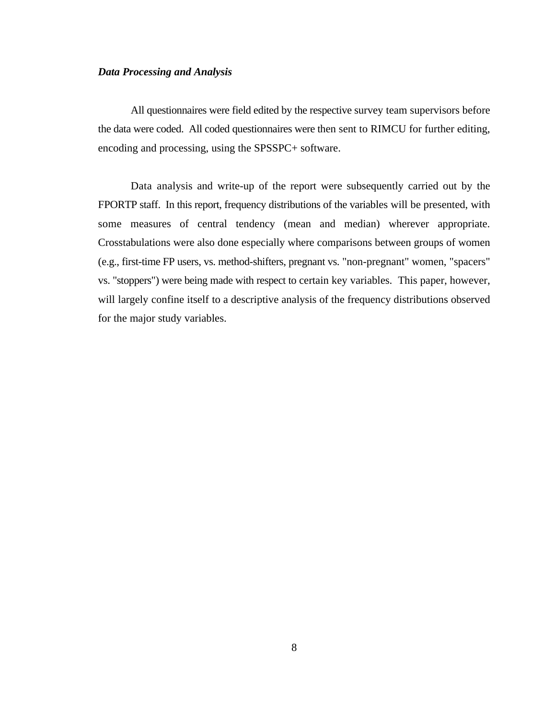#### *Data Processing and Analysis*

All questionnaires were field edited by the respective survey team supervisors before the data were coded. All coded questionnaires were then sent to RIMCU for further editing, encoding and processing, using the SPSSPC+ software.

Data analysis and write-up of the report were subsequently carried out by the FPORTP staff. In this report, frequency distributions of the variables will be presented, with some measures of central tendency (mean and median) wherever appropriate. Crosstabulations were also done especially where comparisons between groups of women (e.g., first-time FP users, vs. method-shifters, pregnant vs. "non-pregnant" women, "spacers" vs. "stoppers") were being made with respect to certain key variables. This paper, however, will largely confine itself to a descriptive analysis of the frequency distributions observed for the major study variables.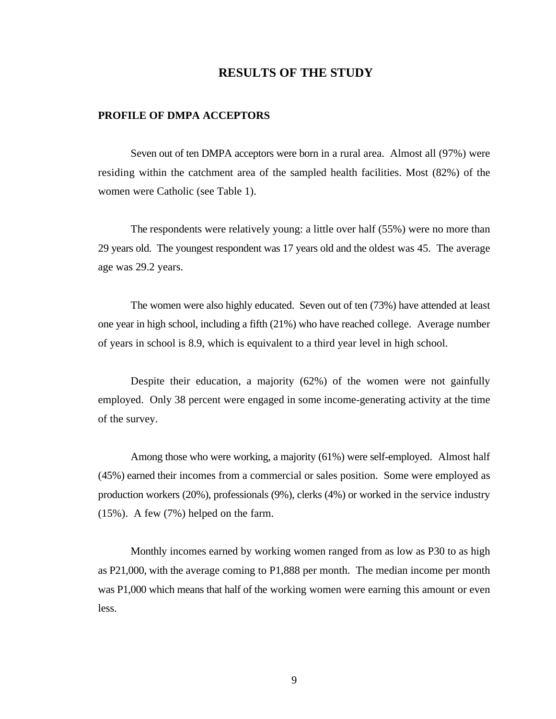# **RESULTS OF THE STUDY**

#### **PROFILE OF DMPA ACCEPTORS**

Seven out of ten DMPA acceptors were born in a rural area. Almost all (97%) were residing within the catchment area of the sampled health facilities. Most (82%) of the women were Catholic (see Table 1).

The respondents were relatively young: a little over half (55%) were no more than 29 years old. The youngest respondent was 17 years old and the oldest was 45. The average age was 29.2 years.

The women were also highly educated. Seven out of ten (73%) have attended at least one year in high school, including a fifth (21%) who have reached college. Average number of years in school is 8.9, which is equivalent to a third year level in high school.

Despite their education, a majority (62%) of the women were not gainfully employed. Only 38 percent were engaged in some income-generating activity at the time of the survey.

Among those who were working, a majority (61%) were self-employed. Almost half (45%) earned their incomes from a commercial or sales position. Some were employed as production workers (20%), professionals (9%), clerks (4%) or worked in the service industry (15%). A few (7%) helped on the farm.

Monthly incomes earned by working women ranged from as low as P30 to as high as P21,000, with the average coming to P1,888 per month. The median income per month was P1,000 which means that half of the working women were earning this amount or even less.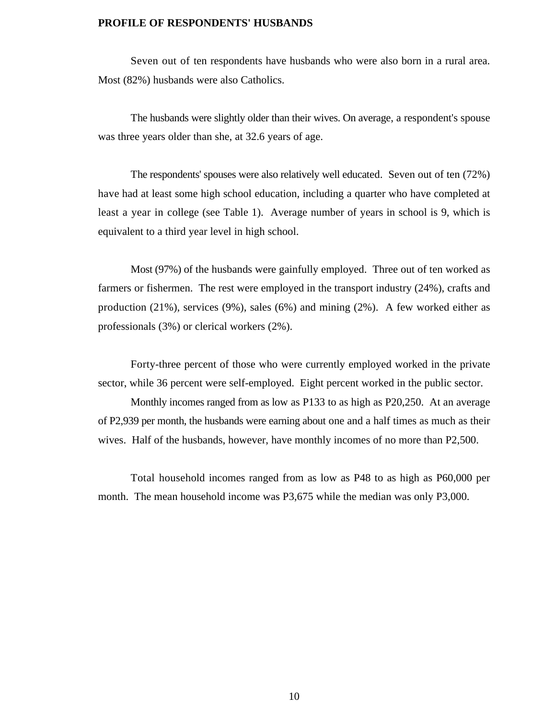#### **PROFILE OF RESPONDENTS' HUSBANDS**

Seven out of ten respondents have husbands who were also born in a rural area. Most (82%) husbands were also Catholics.

The husbands were slightly older than their wives. On average, a respondent's spouse was three years older than she, at 32.6 years of age.

The respondents' spouses were also relatively well educated. Seven out of ten (72%) have had at least some high school education, including a quarter who have completed at least a year in college (see Table 1). Average number of years in school is 9, which is equivalent to a third year level in high school.

Most (97%) of the husbands were gainfully employed. Three out of ten worked as farmers or fishermen. The rest were employed in the transport industry (24%), crafts and production (21%), services (9%), sales (6%) and mining (2%). A few worked either as professionals (3%) or clerical workers (2%).

Forty-three percent of those who were currently employed worked in the private sector, while 36 percent were self-employed. Eight percent worked in the public sector.

Monthly incomes ranged from as low as P133 to as high as P20,250. At an average of P2,939 per month, the husbands were earning about one and a half times as much as their wives. Half of the husbands, however, have monthly incomes of no more than P2,500.

Total household incomes ranged from as low as P48 to as high as P60,000 per month. The mean household income was P3,675 while the median was only P3,000.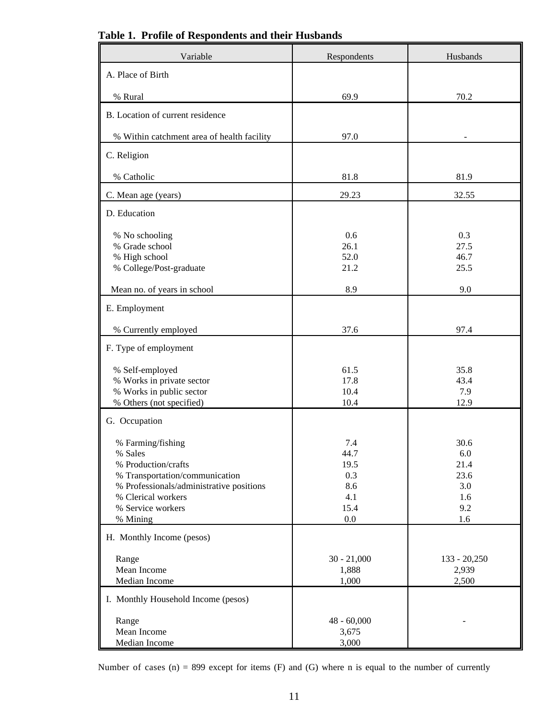| Variable                                                                                                                                                                                 | Respondents                                                 | Husbands                                                    |
|------------------------------------------------------------------------------------------------------------------------------------------------------------------------------------------|-------------------------------------------------------------|-------------------------------------------------------------|
| A. Place of Birth                                                                                                                                                                        |                                                             |                                                             |
| % Rural                                                                                                                                                                                  | 69.9                                                        | 70.2                                                        |
| B. Location of current residence                                                                                                                                                         |                                                             |                                                             |
| % Within catchment area of health facility                                                                                                                                               | 97.0                                                        |                                                             |
| C. Religion                                                                                                                                                                              |                                                             |                                                             |
| % Catholic                                                                                                                                                                               | 81.8                                                        | 81.9                                                        |
| C. Mean age (years)                                                                                                                                                                      | 29.23                                                       | 32.55                                                       |
| D. Education                                                                                                                                                                             |                                                             |                                                             |
| % No schooling<br>% Grade school<br>% High school<br>% College/Post-graduate                                                                                                             | 0.6<br>26.1<br>52.0<br>21.2                                 | 0.3<br>27.5<br>46.7<br>25.5                                 |
| Mean no. of years in school                                                                                                                                                              | 8.9                                                         | 9.0                                                         |
| E. Employment                                                                                                                                                                            |                                                             |                                                             |
| % Currently employed                                                                                                                                                                     | 37.6                                                        | 97.4                                                        |
| F. Type of employment                                                                                                                                                                    |                                                             |                                                             |
| % Self-employed<br>% Works in private sector<br>% Works in public sector<br>% Others (not specified)                                                                                     | 61.5<br>17.8<br>10.4<br>10.4                                | 35.8<br>43.4<br>7.9<br>12.9                                 |
| G. Occupation                                                                                                                                                                            |                                                             |                                                             |
| % Farming/fishing<br>% Sales<br>% Production/crafts<br>% Transportation/communication<br>% Professionals/administrative positions<br>% Clerical workers<br>% Service workers<br>% Mining | 7.4<br>44.7<br>19.5<br>0.3<br>8.6<br>4.1<br>15.4<br>$0.0\,$ | 30.6<br>$6.0\,$<br>21.4<br>23.6<br>3.0<br>1.6<br>9.2<br>1.6 |
| H. Monthly Income (pesos)                                                                                                                                                                |                                                             |                                                             |
| Range<br>Mean Income<br>Median Income                                                                                                                                                    | $30 - 21,000$<br>1,888<br>1,000                             | 133 - 20,250<br>2,939<br>2,500                              |
| I. Monthly Household Income (pesos)                                                                                                                                                      |                                                             |                                                             |
| Range<br>Mean Income<br>Median Income                                                                                                                                                    | $48 - 60,000$<br>3,675<br>3,000                             |                                                             |

**Table 1. Profile of Respondents and their Husbands**

Number of cases  $(n) = 899$  except for items  $(F)$  and  $(G)$  where n is equal to the number of currently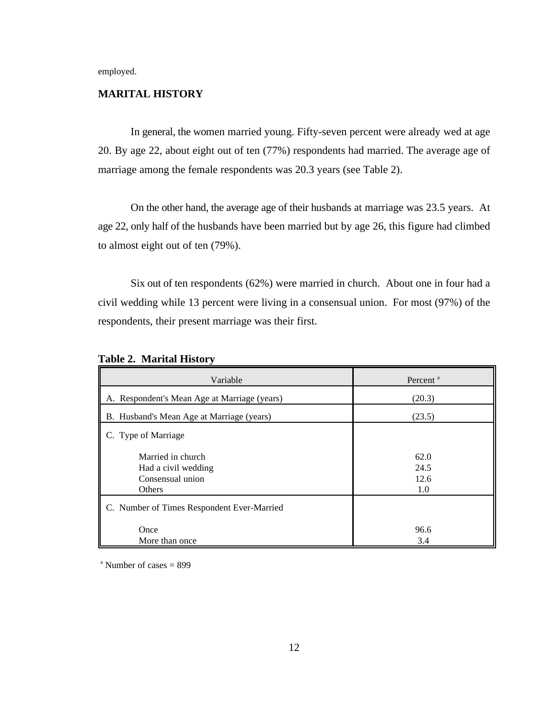employed.

#### **MARITAL HISTORY**

In general, the women married young. Fifty-seven percent were already wed at age 20. By age 22, about eight out of ten (77%) respondents had married. The average age of marriage among the female respondents was 20.3 years (see Table 2).

On the other hand, the average age of their husbands at marriage was 23.5 years. At age 22, only half of the husbands have been married but by age 26, this figure had climbed to almost eight out of ten (79%).

Six out of ten respondents (62%) were married in church. About one in four had a civil wedding while 13 percent were living in a consensual union. For most (97%) of the respondents, their present marriage was their first.

| Variable                                                               | Percent <sup>a</sup>        |
|------------------------------------------------------------------------|-----------------------------|
| A. Respondent's Mean Age at Marriage (years)                           | (20.3)                      |
| B. Husband's Mean Age at Marriage (years)                              | (23.5)                      |
| C. Type of Marriage                                                    |                             |
| Married in church<br>Had a civil wedding<br>Consensual union<br>Others | 62.0<br>24.5<br>12.6<br>1.0 |
| C. Number of Times Respondent Ever-Married                             |                             |
| Once<br>More than once                                                 | 96.6<br>3.4                 |

|  | <b>Table 2. Marital History</b> |  |
|--|---------------------------------|--|
|--|---------------------------------|--|

 $^{\circ}$  Number of cases = 899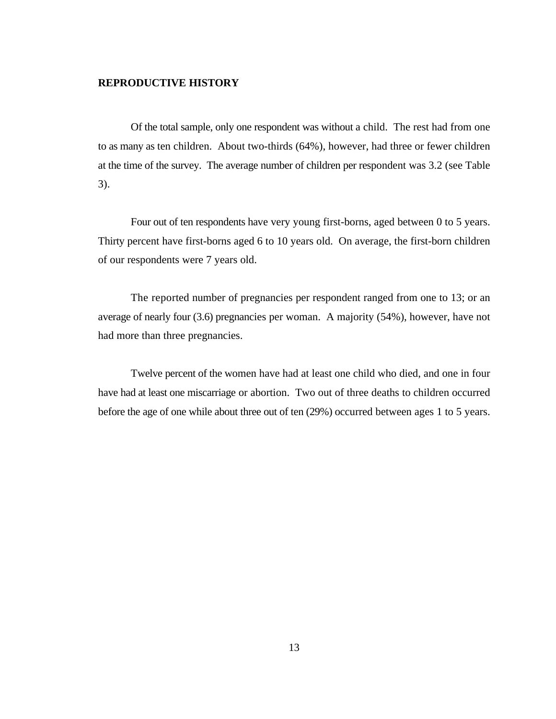#### **REPRODUCTIVE HISTORY**

Of the total sample, only one respondent was without a child. The rest had from one to as many as ten children. About two-thirds (64%), however, had three or fewer children at the time of the survey. The average number of children per respondent was 3.2 (see Table 3).

Four out of ten respondents have very young first-borns, aged between 0 to 5 years. Thirty percent have first-borns aged 6 to 10 years old. On average, the first-born children of our respondents were 7 years old.

The reported number of pregnancies per respondent ranged from one to 13; or an average of nearly four (3.6) pregnancies per woman. A majority (54%), however, have not had more than three pregnancies.

Twelve percent of the women have had at least one child who died, and one in four have had at least one miscarriage or abortion. Two out of three deaths to children occurred before the age of one while about three out of ten (29%) occurred between ages 1 to 5 years.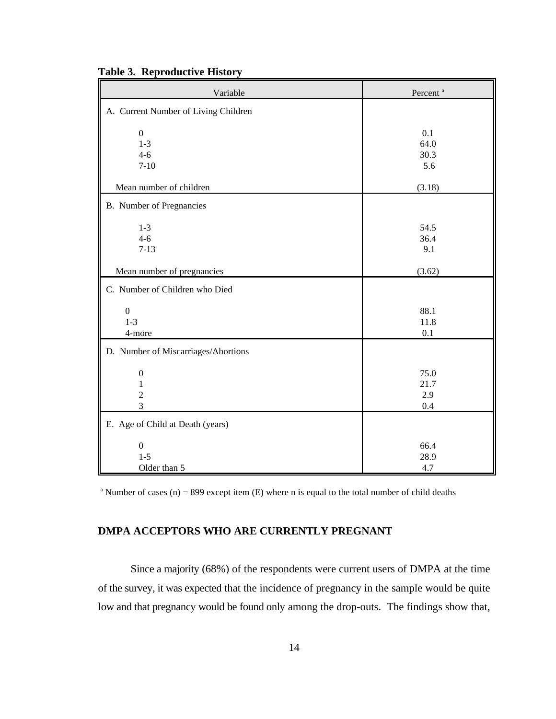| Variable                                                | Percent <sup>a</sup>       |
|---------------------------------------------------------|----------------------------|
| A. Current Number of Living Children                    |                            |
| $\boldsymbol{0}$<br>$1 - 3$<br>$4 - 6$<br>$7 - 10$      | 0.1<br>64.0<br>30.3<br>5.6 |
| Mean number of children                                 | (3.18)                     |
| B. Number of Pregnancies                                |                            |
| $1 - 3$<br>$4 - 6$<br>$7 - 13$                          | 54.5<br>36.4<br>9.1        |
| Mean number of pregnancies                              | (3.62)                     |
| C. Number of Children who Died                          |                            |
| $\boldsymbol{0}$<br>$1 - 3$<br>4-more                   | 88.1<br>11.8<br>0.1        |
| D. Number of Miscarriages/Abortions                     |                            |
| $\boldsymbol{0}$<br>$\mathbf{1}$<br>$\overline{2}$<br>3 | 75.0<br>21.7<br>2.9<br>0.4 |
| E. Age of Child at Death (years)                        |                            |
| $\boldsymbol{0}$<br>$1 - 5$<br>Older than 5             | 66.4<br>28.9<br>4.7        |

**Table 3. Reproductive History**

<sup>a</sup> Number of cases (n) = 899 except item (E) where n is equal to the total number of child deaths

# **DMPA ACCEPTORS WHO ARE CURRENTLY PREGNANT**

Since a majority (68%) of the respondents were current users of DMPA at the time of the survey, it was expected that the incidence of pregnancy in the sample would be quite low and that pregnancy would be found only among the drop-outs. The findings show that,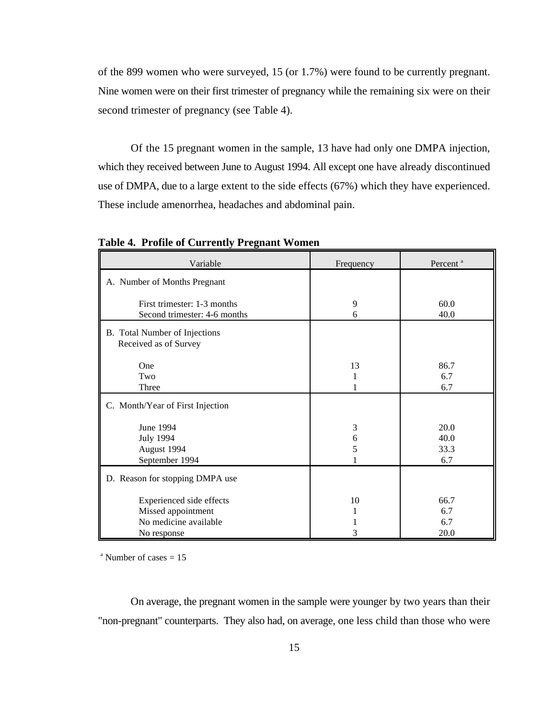of the 899 women who were surveyed, 15 (or 1.7%) were found to be currently pregnant. Nine women were on their first trimester of pregnancy while the remaining six were on their second trimester of pregnancy (see Table 4).

Of the 15 pregnant women in the sample, 13 have had only one DMPA injection, which they received between June to August 1994. All except one have already discontinued use of DMPA, due to a large extent to the side effects (67%) which they have experienced. These include amenorrhea, headaches and abdominal pain.

| Variable                                                                               | Frequency    | Percent <sup>a</sup>        |
|----------------------------------------------------------------------------------------|--------------|-----------------------------|
| A. Number of Months Pregnant                                                           |              |                             |
| First trimester: 1-3 months<br>Second trimester: 4-6 months                            | 9<br>6       | 60.0<br>40.0                |
| B. Total Number of Injections<br>Received as of Survey                                 |              |                             |
| One<br>Two<br>Three                                                                    | 13<br>1      | 86.7<br>6.7<br>6.7          |
| C. Month/Year of First Injection                                                       |              |                             |
| <b>June 1994</b><br><b>July 1994</b><br>August 1994<br>September 1994                  | 3<br>6<br>5  | 20.0<br>40.0<br>33.3<br>6.7 |
| D. Reason for stopping DMPA use                                                        |              |                             |
| Experienced side effects<br>Missed appointment<br>No medicine available<br>No response | 10<br>1<br>3 | 66.7<br>6.7<br>6.7<br>20.0  |

**Table 4. Profile of Currently Pregnant Women**

 $^{\circ}$  Number of cases = 15

On average, the pregnant women in the sample were younger by two years than their "non-pregnant" counterparts. They also had, on average, one less child than those who were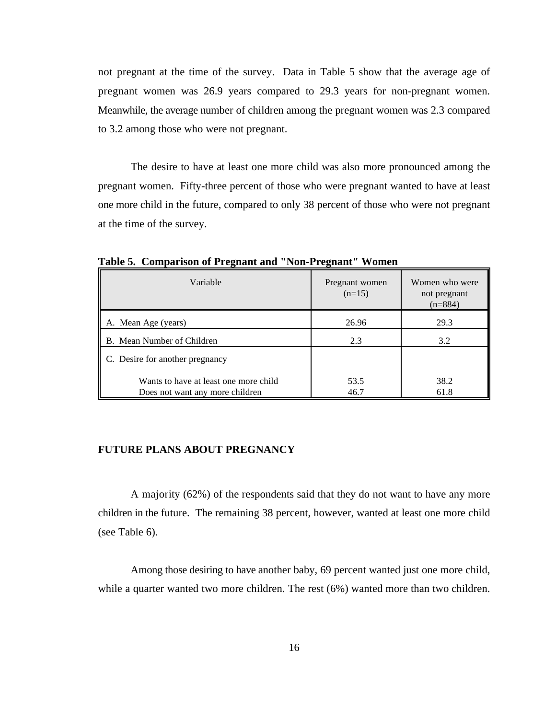not pregnant at the time of the survey. Data in Table 5 show that the average age of pregnant women was 26.9 years compared to 29.3 years for non-pregnant women. Meanwhile, the average number of children among the pregnant women was 2.3 compared to 3.2 among those who were not pregnant.

The desire to have at least one more child was also more pronounced among the pregnant women. Fifty-three percent of those who were pregnant wanted to have at least one more child in the future, compared to only 38 percent of those who were not pregnant at the time of the survey.

| Variable                                                                 | Pregnant women<br>$(n=15)$ | Women who were<br>not pregnant<br>$(n=884)$ |
|--------------------------------------------------------------------------|----------------------------|---------------------------------------------|
| A. Mean Age (years)                                                      | 26.96                      | 29.3                                        |
| B. Mean Number of Children                                               | 2.3                        | 3.2                                         |
| C. Desire for another pregnancy                                          |                            |                                             |
| Wants to have at least one more child<br>Does not want any more children | 53.5<br>46.7               | 38.2<br>61.8                                |

**Table 5. Comparison of Pregnant and "Non-Pregnant" Women**

# **FUTURE PLANS ABOUT PREGNANCY**

A majority (62%) of the respondents said that they do not want to have any more children in the future. The remaining 38 percent, however, wanted at least one more child (see Table 6).

Among those desiring to have another baby, 69 percent wanted just one more child, while a quarter wanted two more children. The rest (6%) wanted more than two children.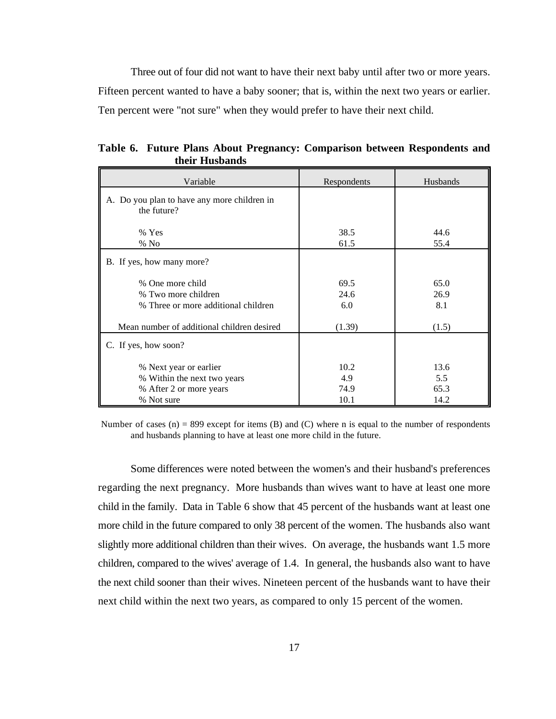Three out of four did not want to have their next baby until after two or more years. Fifteen percent wanted to have a baby sooner; that is, within the next two years or earlier. Ten percent were "not sure" when they would prefer to have their next child.

| Variable                                                                                       | Respondents                 | Husbands                    |
|------------------------------------------------------------------------------------------------|-----------------------------|-----------------------------|
| A. Do you plan to have any more children in<br>the future?                                     |                             |                             |
| % Yes<br>$%$ No                                                                                | 38.5<br>61.5                | 44.6<br>55.4                |
| B. If yes, how many more?                                                                      |                             |                             |
| % One more child<br>% Two more children<br>% Three or more additional children                 | 69.5<br>24.6<br>6.0         | 65.0<br>26.9<br>8.1         |
| Mean number of additional children desired                                                     | (1.39)                      | (1.5)                       |
| C. If yes, how soon?                                                                           |                             |                             |
| % Next year or earlier<br>% Within the next two years<br>% After 2 or more years<br>% Not sure | 10.2<br>4.9<br>74.9<br>10.1 | 13.6<br>5.5<br>65.3<br>14.2 |

**Table 6. Future Plans About Pregnancy: Comparison between Respondents and their Husbands**

Number of cases (n) = 899 except for items (B) and (C) where n is equal to the number of respondents and husbands planning to have at least one more child in the future.

Some differences were noted between the women's and their husband's preferences regarding the next pregnancy. More husbands than wives want to have at least one more child in the family. Data in Table 6 show that 45 percent of the husbands want at least one more child in the future compared to only 38 percent of the women. The husbands also want slightly more additional children than their wives. On average, the husbands want 1.5 more children, compared to the wives' average of 1.4. In general, the husbands also want to have the next child sooner than their wives. Nineteen percent of the husbands want to have their next child within the next two years, as compared to only 15 percent of the women.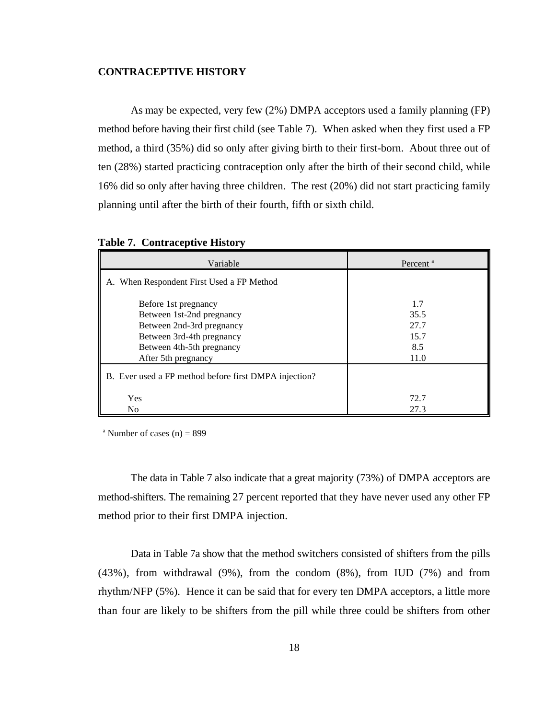#### **CONTRACEPTIVE HISTORY**

As may be expected, very few (2%) DMPA acceptors used a family planning (FP) method before having their first child (see Table 7). When asked when they first used a FP method, a third (35%) did so only after giving birth to their first-born. About three out of ten (28%) started practicing contraception only after the birth of their second child, while 16% did so only after having three children. The rest (20%) did not start practicing family planning until after the birth of their fourth, fifth or sixth child.

| Variable                                                                                                                                                        | Percent <sup>a</sup>                       |
|-----------------------------------------------------------------------------------------------------------------------------------------------------------------|--------------------------------------------|
| A. When Respondent First Used a FP Method                                                                                                                       |                                            |
| Before 1st pregnancy<br>Between 1st-2nd pregnancy<br>Between 2nd-3rd pregnancy<br>Between 3rd-4th pregnancy<br>Between 4th-5th pregnancy<br>After 5th pregnancy | 1.7<br>35.5<br>27.7<br>15.7<br>8.5<br>11.0 |
| B. Ever used a FP method before first DMPA injection?                                                                                                           |                                            |
| <b>Yes</b><br>N <sub>0</sub>                                                                                                                                    | 72.7<br>27.3                               |

|  | <b>Table 7. Contraceptive History</b> |  |  |
|--|---------------------------------------|--|--|
|--|---------------------------------------|--|--|

<sup>a</sup> Number of cases (n) = 899

The data in Table 7 also indicate that a great majority (73%) of DMPA acceptors are method-shifters. The remaining 27 percent reported that they have never used any other FP method prior to their first DMPA injection.

Data in Table 7a show that the method switchers consisted of shifters from the pills (43%), from withdrawal (9%), from the condom (8%), from IUD (7%) and from rhythm/NFP (5%). Hence it can be said that for every ten DMPA acceptors, a little more than four are likely to be shifters from the pill while three could be shifters from other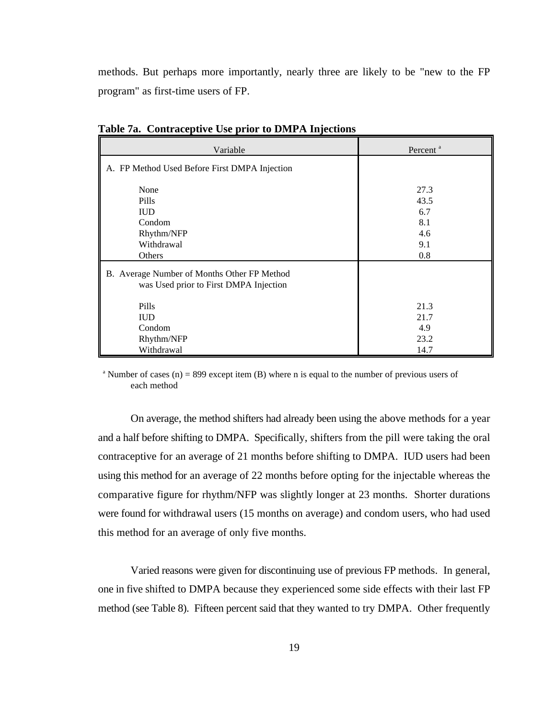methods. But perhaps more importantly, nearly three are likely to be "new to the FP program" as first-time users of FP.

| Variable                                                                              | Percent <sup>a</sup>                            |
|---------------------------------------------------------------------------------------|-------------------------------------------------|
| A. FP Method Used Before First DMPA Injection                                         |                                                 |
| None<br>Pills<br><b>IUD</b><br>Condom<br>Rhythm/NFP<br>Withdrawal<br>Others           | 27.3<br>43.5<br>6.7<br>8.1<br>4.6<br>9.1<br>0.8 |
| B. Average Number of Months Other FP Method<br>was Used prior to First DMPA Injection |                                                 |
| <b>Pills</b><br><b>IUD</b><br>Condom<br>Rhythm/NFP<br>Withdrawal                      | 21.3<br>21.7<br>4.9<br>23.2<br>14.7             |

**Table 7a. Contraceptive Use prior to DMPA Injections**

<sup>a</sup> Number of cases (n) = 899 except item (B) where n is equal to the number of previous users of each method

On average, the method shifters had already been using the above methods for a year and a half before shifting to DMPA. Specifically, shifters from the pill were taking the oral contraceptive for an average of 21 months before shifting to DMPA. IUD users had been using this method for an average of 22 months before opting for the injectable whereas the comparative figure for rhythm/NFP was slightly longer at 23 months. Shorter durations were found for withdrawal users (15 months on average) and condom users, who had used this method for an average of only five months.

Varied reasons were given for discontinuing use of previous FP methods. In general, one in five shifted to DMPA because they experienced some side effects with their last FP method (see Table 8). Fifteen percent said that they wanted to try DMPA. Other frequently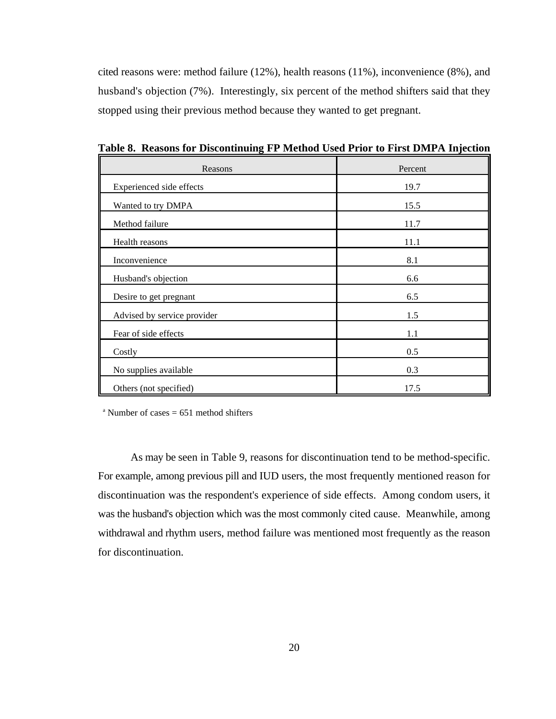cited reasons were: method failure (12%), health reasons (11%), inconvenience (8%), and husband's objection (7%). Interestingly, six percent of the method shifters said that they stopped using their previous method because they wanted to get pregnant.

| Reasons                     | Percent |
|-----------------------------|---------|
| Experienced side effects    | 19.7    |
| Wanted to try DMPA          | 15.5    |
| Method failure              | 11.7    |
| Health reasons              | 11.1    |
| Inconvenience               | 8.1     |
| Husband's objection         | 6.6     |
| Desire to get pregnant      | 6.5     |
| Advised by service provider | 1.5     |
| Fear of side effects        | 1.1     |
| Costly                      | 0.5     |
| No supplies available       | 0.3     |
| Others (not specified)      | 17.5    |

**Table 8. Reasons for Discontinuing FP Method Used Prior to First DMPA Injection**

<sup>a</sup> Number of cases  $= 651$  method shifters

As may be seen in Table 9, reasons for discontinuation tend to be method-specific. For example, among previous pill and IUD users, the most frequently mentioned reason for discontinuation was the respondent's experience of side effects. Among condom users, it was the husband's objection which was the most commonly cited cause. Meanwhile, among withdrawal and rhythm users, method failure was mentioned most frequently as the reason for discontinuation.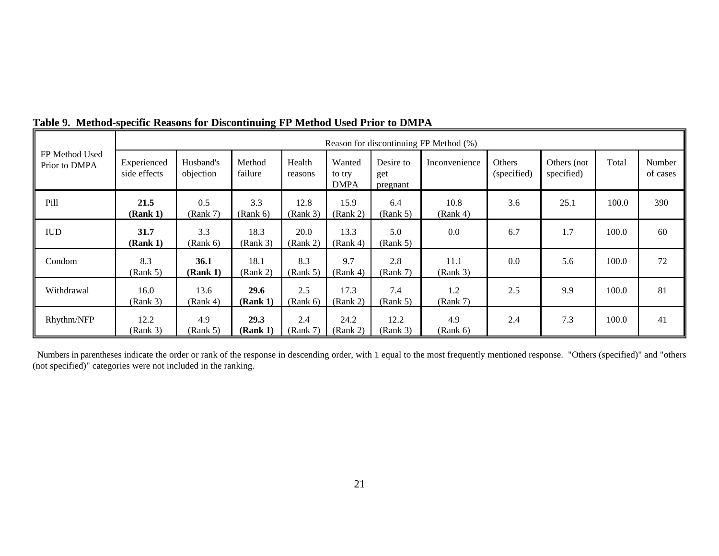|                                 | Reason for discontinuing FP Method (%) |                         |                         |                   |                                 |                              |                  |                              |                           |       |                    |
|---------------------------------|----------------------------------------|-------------------------|-------------------------|-------------------|---------------------------------|------------------------------|------------------|------------------------------|---------------------------|-------|--------------------|
| FP Method Used<br>Prior to DMPA | Experienced<br>side effects            | Husband's<br>objection  | Method<br>failure       | Health<br>reasons | Wanted<br>to try<br><b>DMPA</b> | Desire to<br>get<br>pregnant | Inconvenience    | <b>Others</b><br>(specified) | Others (not<br>specified) | Total | Number<br>of cases |
| Pill                            | 21.5<br>(Rank 1)                       | 0.5<br>(Rank 7)         | 3.3<br>(Rank 6)         | 12.8<br>(Rank 3)  | 15.9<br>(Rank 2)                | 6.4<br>(Rank 5)              | 10.8<br>(Rank 4) | 3.6                          | 25.1                      | 100.0 | 390                |
| <b>IUD</b>                      | 31.7<br>(Rank 1)                       | 3.3<br>(Rank 6)         | 18.3<br>(Rank 3)        | 20.0<br>(Rank 2)  | 13.3<br>(Rank 4)                | 5.0<br>(Rank 5)              | 0.0              | 6.7                          | 1.7                       | 100.0 | 60                 |
| Condom                          | 8.3<br>(Rank 5)                        | <b>36.1</b><br>(Rank 1) | 18.1<br>(Rank 2)        | 8.3<br>(Rank 5)   | 9.7<br>(Rank 4)                 | 2.8<br>(Rank 7)              | 11.1<br>(Rank 3) | 0.0                          | 5.6                       | 100.0 | 72                 |
| Withdrawal                      | 16.0<br>(Rank 3)                       | 13.6<br>(Rank 4)        | <b>29.6</b><br>(Rank 1) | 2.5<br>(Rank 6)   | 17.3<br>(Rank 2)                | 7.4<br>(Rank 5)              | 1.2<br>(Rank 7)  | 2.5                          | 9.9                       | 100.0 | 81                 |
| Rhythm/NFP                      | 12.2<br>(Rank 3)                       | 4.9<br>(Rank 5)         | 29.3<br>(Rank 1)        | 2.4<br>(Rank 7)   | 24.2<br>(Rank 2)                | 12.2<br>(Rank 3)             | 4.9<br>(Rank 6)  | 2.4                          | 7.3                       | 100.0 | 41                 |

# **Table 9. Method-specific Reasons for Discontinuing FP Method Used Prior to DMPA**

 Numbers in parentheses indicate the order or rank of the response in descending order, with 1 equal to the most frequently mentioned response. "Others (specified)" and "others (not specified)" categories were not included in the ranking.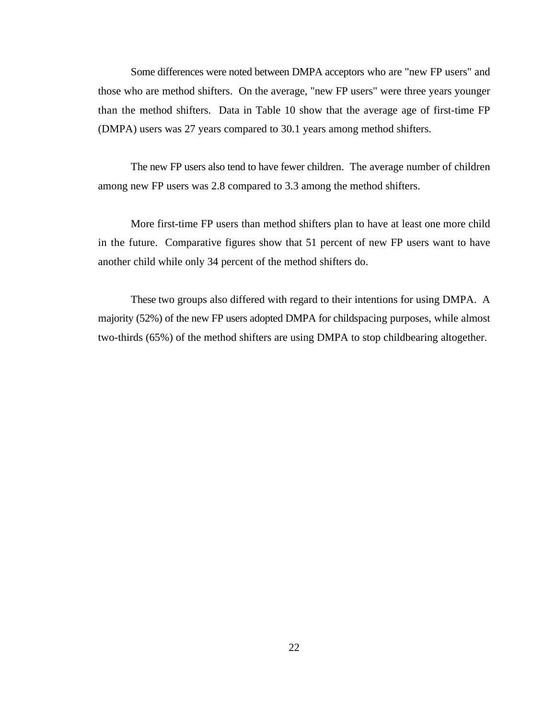Some differences were noted between DMPA acceptors who are "new FP users" and those who are method shifters. On the average, "new FP users" were three years younger than the method shifters. Data in Table 10 show that the average age of first-time FP (DMPA) users was 27 years compared to 30.1 years among method shifters.

The new FP users also tend to have fewer children. The average number of children among new FP users was 2.8 compared to 3.3 among the method shifters.

More first-time FP users than method shifters plan to have at least one more child in the future. Comparative figures show that 51 percent of new FP users want to have another child while only 34 percent of the method shifters do.

These two groups also differed with regard to their intentions for using DMPA. A majority (52%) of the new FP users adopted DMPA for childspacing purposes, while almost two-thirds (65%) of the method shifters are using DMPA to stop childbearing altogether.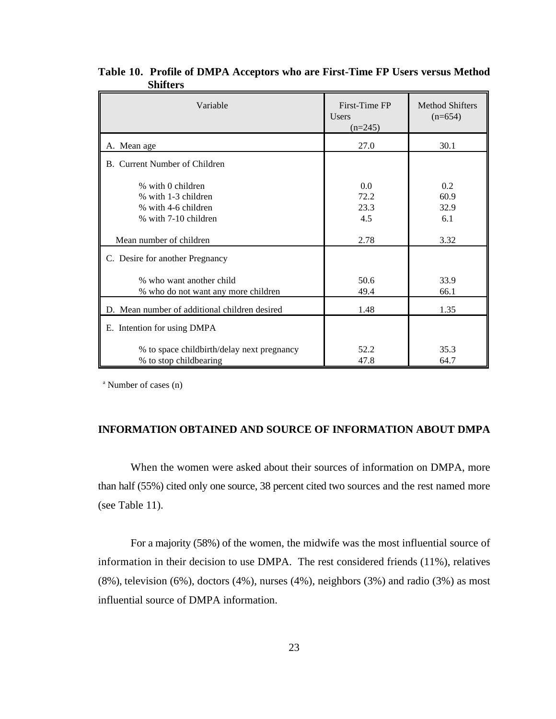| Variable                                                                                | First-Time FP<br><b>Users</b><br>$(n=245)$ | <b>Method Shifters</b><br>$(n=654)$ |  |
|-----------------------------------------------------------------------------------------|--------------------------------------------|-------------------------------------|--|
| A. Mean age                                                                             | 27.0                                       | 30.1                                |  |
| B. Current Number of Children                                                           |                                            |                                     |  |
| % with 0 children<br>% with 1-3 children<br>% with 4-6 children<br>% with 7-10 children | 0.0<br>72.2<br>23.3<br>4.5                 | 0.2<br>60.9<br>32.9<br>6.1          |  |
| Mean number of children                                                                 | 2.78                                       | 3.32                                |  |
| C. Desire for another Pregnancy                                                         |                                            |                                     |  |
| % who want another child<br>% who do not want any more children                         | 50.6<br>49.4                               | 33.9<br>66.1                        |  |
| D. Mean number of additional children desired                                           | 1.48                                       | 1.35                                |  |
| E. Intention for using DMPA                                                             |                                            |                                     |  |
| % to space childbirth/delay next pregnancy<br>% to stop childbearing                    | 52.2<br>47.8                               | 35.3<br>64.7                        |  |

**Table 10. Profile of DMPA Acceptors who are First-Time FP Users versus Method Shifters**

 $^{\circ}$  Number of cases (n)

### **INFORMATION OBTAINED AND SOURCE OF INFORMATION ABOUT DMPA**

When the women were asked about their sources of information on DMPA, more than half (55%) cited only one source, 38 percent cited two sources and the rest named more (see Table 11).

For a majority (58%) of the women, the midwife was the most influential source of information in their decision to use DMPA. The rest considered friends (11%), relatives (8%), television (6%), doctors (4%), nurses (4%), neighbors (3%) and radio (3%) as most influential source of DMPA information.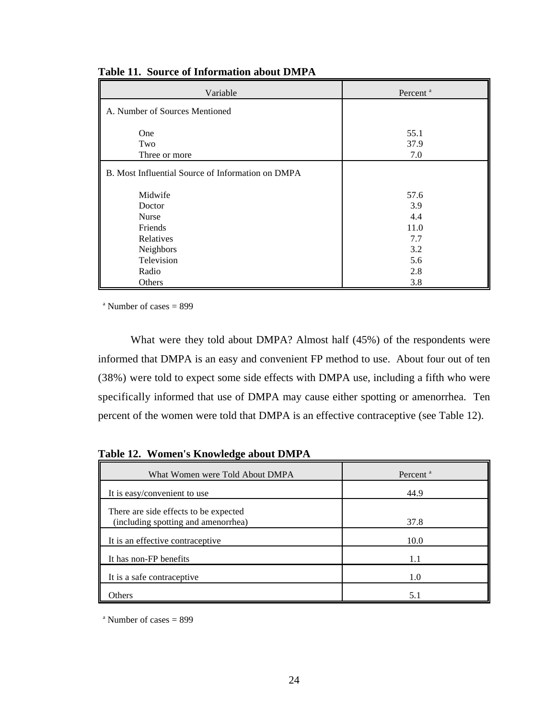| Variable                                          | Percent <sup>a</sup> |
|---------------------------------------------------|----------------------|
| A. Number of Sources Mentioned                    |                      |
|                                                   |                      |
| One                                               | 55.1                 |
| Two                                               | 37.9                 |
| Three or more                                     | 7.0                  |
| B. Most Influential Source of Information on DMPA |                      |
| Midwife                                           | 57.6                 |
| Doctor                                            | 3.9                  |
| <b>Nurse</b>                                      | 4.4                  |
| Friends                                           | 11.0                 |
| Relatives                                         | 7.7                  |
| Neighbors                                         | 3.2                  |
| Television                                        | 5.6                  |
| Radio                                             | 2.8                  |
| Others                                            | 3.8                  |

**Table 11. Source of Information about DMPA**

 $^{\circ}$  Number of cases = 899

What were they told about DMPA? Almost half (45%) of the respondents were informed that DMPA is an easy and convenient FP method to use. About four out of ten (38%) were told to expect some side effects with DMPA use, including a fifth who were specifically informed that use of DMPA may cause either spotting or amenorrhea. Ten percent of the women were told that DMPA is an effective contraceptive (see Table 12).

**Table 12. Women's Knowledge about DMPA**

| What Women were Told About DMPA                                              | Percent <sup>a</sup> |
|------------------------------------------------------------------------------|----------------------|
| It is easy/convenient to use                                                 | 44.9                 |
| There are side effects to be expected<br>(including spotting and amenorrhea) | 37.8                 |
| It is an effective contraceptive                                             | 10.0                 |
| It has non-FP benefits                                                       | 1.1                  |
| It is a safe contraceptive                                                   | 1.0                  |
| Others                                                                       | 5.1                  |

 $^{\circ}$  Number of cases = 899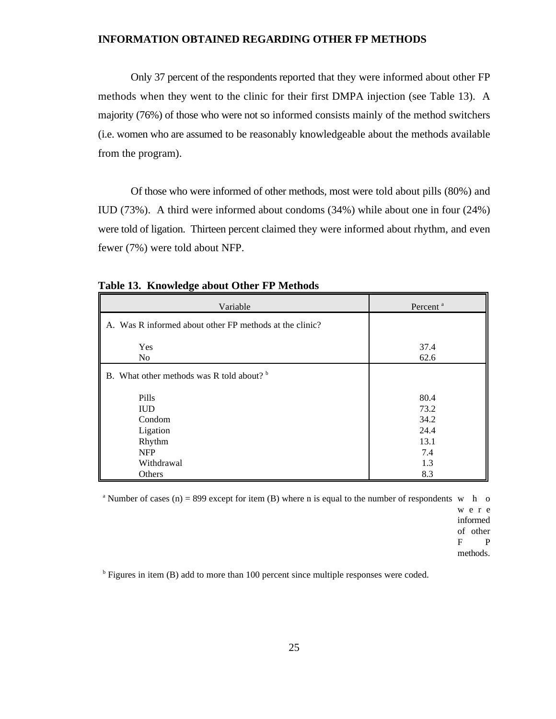#### **INFORMATION OBTAINED REGARDING OTHER FP METHODS**

Only 37 percent of the respondents reported that they were informed about other FP methods when they went to the clinic for their first DMPA injection (see Table 13). A majority (76%) of those who were not so informed consists mainly of the method switchers (i.e. women who are assumed to be reasonably knowledgeable about the methods available from the program).

Of those who were informed of other methods, most were told about pills (80%) and IUD (73%). A third were informed about condoms (34%) while about one in four (24%) were told of ligation. Thirteen percent claimed they were informed about rhythm, and even fewer (7%) were told about NFP.

| 37.4<br>62.6                                              |
|-----------------------------------------------------------|
|                                                           |
| 80.4<br>73.2<br>34.2<br>24.4<br>13.1<br>7.4<br>1.3<br>8.3 |
|                                                           |

**Table 13. Knowledge about Other FP Methods**

<sup>a</sup> Number of cases (n) = 899 except for item (B) where n is equal to the number of respondents w h o

wer e informed of other F P methods.

 $<sup>b</sup>$  Figures in item (B) add to more than 100 percent since multiple responses were coded.</sup>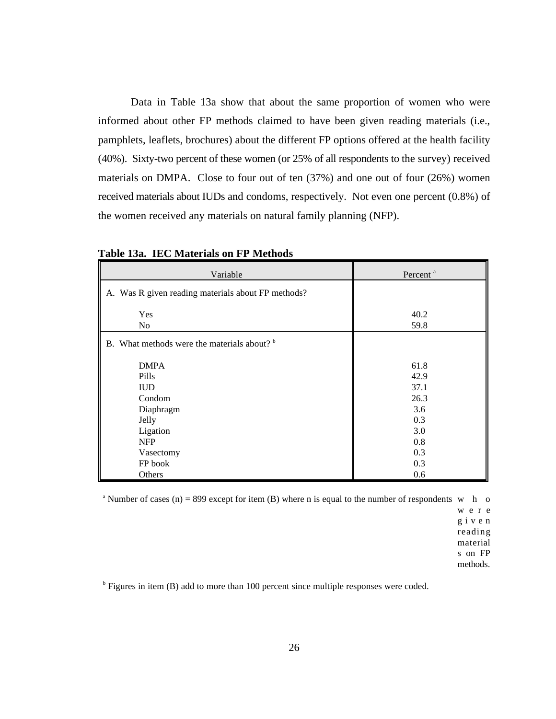Data in Table 13a show that about the same proportion of women who were informed about other FP methods claimed to have been given reading materials (i.e., pamphlets, leaflets, brochures) about the different FP options offered at the health facility (40%). Sixty-two percent of these women (or 25% of all respondents to the survey) received materials on DMPA. Close to four out of ten (37%) and one out of four (26%) women received materials about IUDs and condoms, respectively. Not even one percent (0.8%) of the women received any materials on natural family planning (NFP).

| Variable                                           | Percent <sup>a</sup> |
|----------------------------------------------------|----------------------|
| A. Was R given reading materials about FP methods? |                      |
| Yes                                                | 40.2                 |
| N <sub>0</sub>                                     | 59.8                 |
| B. What methods were the materials about? b        |                      |
| <b>DMPA</b>                                        | 61.8                 |
| Pills                                              | 42.9                 |
| <b>IUD</b>                                         | 37.1                 |
| Condom                                             | 26.3                 |
| Diaphragm                                          | 3.6                  |
| Jelly                                              | 0.3                  |
| Ligation                                           | 3.0                  |
| <b>NFP</b>                                         | 0.8                  |
| Vasectomy                                          | 0.3                  |
| FP book                                            | 0.3                  |
| Others                                             | 0.6                  |

**Table 13a. IEC Materials on FP Methods**

<sup>a</sup> Number of cases (n) = 899 except for item (B) where n is equal to the number of respondents w h o

wer e give n reading material s on FP methods.

 $<sup>b</sup>$  Figures in item (B) add to more than 100 percent since multiple responses were coded.</sup>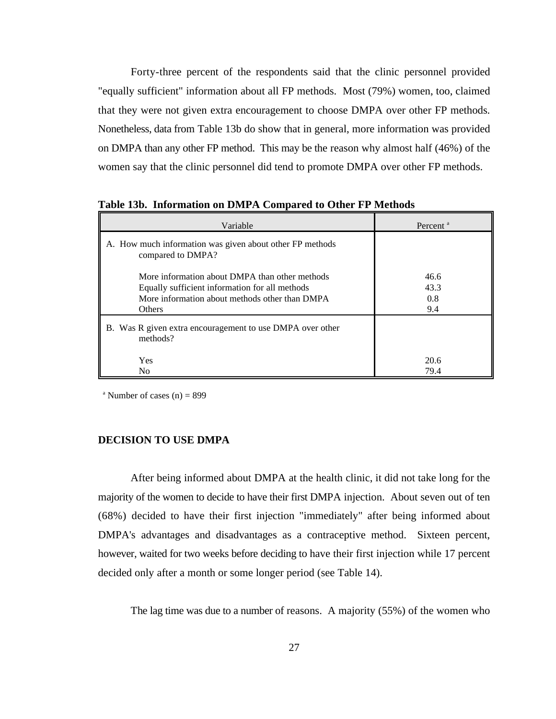Forty-three percent of the respondents said that the clinic personnel provided "equally sufficient" information about all FP methods. Most (79%) women, too, claimed that they were not given extra encouragement to choose DMPA over other FP methods. Nonetheless, data from Table 13b do show that in general, more information was provided on DMPA than any other FP method. This may be the reason why almost half (46%) of the women say that the clinic personnel did tend to promote DMPA over other FP methods.

| Variable                                                                                                                                                     | Percent <sup>a</sup>       |  |  |
|--------------------------------------------------------------------------------------------------------------------------------------------------------------|----------------------------|--|--|
| A. How much information was given about other FP methods<br>compared to DMPA?                                                                                |                            |  |  |
| More information about DMPA than other methods<br>Equally sufficient information for all methods<br>More information about methods other than DMPA<br>Others | 46.6<br>43.3<br>0.8<br>9.4 |  |  |
| B. Was R given extra encouragement to use DMPA over other<br>methods?                                                                                        |                            |  |  |
| Yes<br>No                                                                                                                                                    | 20.6<br>79.4               |  |  |

**Table 13b. Information on DMPA Compared to Other FP Methods**

<sup>a</sup> Number of cases  $(n) = 899$ 

#### **DECISION TO USE DMPA**

After being informed about DMPA at the health clinic, it did not take long for the majority of the women to decide to have their first DMPA injection. About seven out of ten (68%) decided to have their first injection "immediately" after being informed about DMPA's advantages and disadvantages as a contraceptive method. Sixteen percent, however, waited for two weeks before deciding to have their first injection while 17 percent decided only after a month or some longer period (see Table 14).

The lag time was due to a number of reasons. A majority (55%) of the women who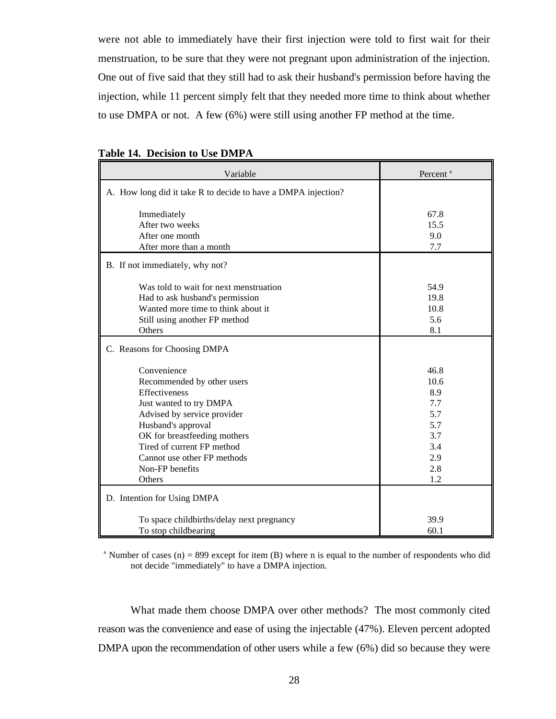were not able to immediately have their first injection were told to first wait for their menstruation, to be sure that they were not pregnant upon administration of the injection. One out of five said that they still had to ask their husband's permission before having the injection, while 11 percent simply felt that they needed more time to think about whether to use DMPA or not. A few (6%) were still using another FP method at the time.

| Variable                                                                                                                                                                                                                                                             | Percent <sup>a</sup>                                                        |
|----------------------------------------------------------------------------------------------------------------------------------------------------------------------------------------------------------------------------------------------------------------------|-----------------------------------------------------------------------------|
| A. How long did it take R to decide to have a DMPA injection?                                                                                                                                                                                                        |                                                                             |
| Immediately<br>After two weeks<br>After one month                                                                                                                                                                                                                    | 67.8<br>15.5<br>9.0                                                         |
| After more than a month                                                                                                                                                                                                                                              | 7.7                                                                         |
| B. If not immediately, why not?                                                                                                                                                                                                                                      |                                                                             |
| Was told to wait for next menstruation<br>Had to ask husband's permission<br>Wanted more time to think about it<br>Still using another FP method<br>Others                                                                                                           | 54.9<br>19.8<br>10.8<br>5.6<br>8.1                                          |
| C. Reasons for Choosing DMPA                                                                                                                                                                                                                                         |                                                                             |
| Convenience<br>Recommended by other users<br>Effectiveness<br>Just wanted to try DMPA<br>Advised by service provider<br>Husband's approval<br>OK for breastfeeding mothers<br>Tired of current FP method<br>Cannot use other FP methods<br>Non-FP benefits<br>Others | 46.8<br>10.6<br>8.9<br>7.7<br>5.7<br>5.7<br>3.7<br>3.4<br>2.9<br>2.8<br>1.2 |
| D. Intention for Using DMPA                                                                                                                                                                                                                                          |                                                                             |
| To space childbirths/delay next pregnancy<br>To stop childbearing                                                                                                                                                                                                    | 39.9<br>60.1                                                                |

|  | <b>Table 14. Decision to Use DMPA</b> |  |
|--|---------------------------------------|--|
|--|---------------------------------------|--|

<sup>a</sup> Number of cases (n) = 899 except for item (B) where n is equal to the number of respondents who did not decide "immediately" to have a DMPA injection.

What made them choose DMPA over other methods? The most commonly cited reason was the convenience and ease of using the injectable (47%). Eleven percent adopted DMPA upon the recommendation of other users while a few (6%) did so because they were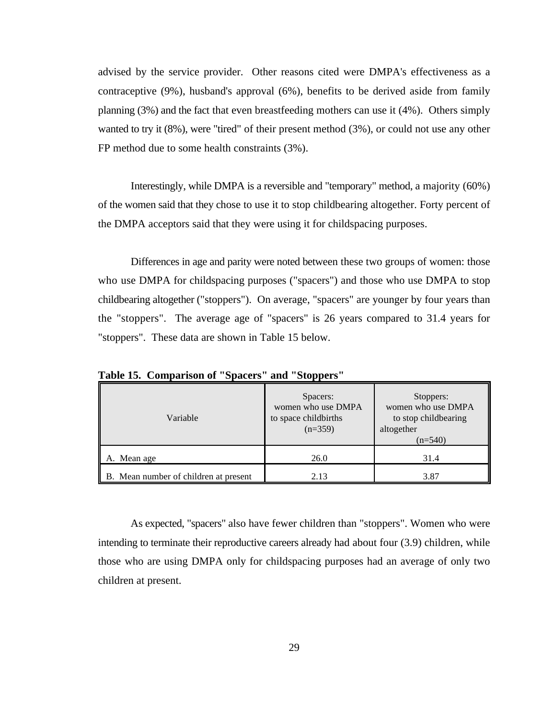advised by the service provider. Other reasons cited were DMPA's effectiveness as a contraceptive (9%), husband's approval (6%), benefits to be derived aside from family planning (3%) and the fact that even breastfeeding mothers can use it (4%). Others simply wanted to try it (8%), were "tired" of their present method (3%), or could not use any other FP method due to some health constraints (3%).

Interestingly, while DMPA is a reversible and "temporary" method, a majority (60%) of the women said that they chose to use it to stop childbearing altogether. Forty percent of the DMPA acceptors said that they were using it for childspacing purposes.

Differences in age and parity were noted between these two groups of women: those who use DMPA for childspacing purposes ("spacers") and those who use DMPA to stop childbearing altogether ("stoppers"). On average, "spacers" are younger by four years than the "stoppers". The average age of "spacers" is 26 years compared to 31.4 years for "stoppers". These data are shown in Table 15 below.

| Variable                              | Spacers:<br>women who use DMPA<br>to space childbirths<br>$(n=359)$ | Stoppers:<br>women who use DMPA<br>to stop childbearing<br>altogether<br>$(n=540)$ |
|---------------------------------------|---------------------------------------------------------------------|------------------------------------------------------------------------------------|
| A. Mean age                           | 26.0                                                                | 31.4                                                                               |
| B. Mean number of children at present | 2.13                                                                | 3.87                                                                               |

**Table 15. Comparison of "Spacers" and "Stoppers"**

As expected, "spacers" also have fewer children than "stoppers". Women who were intending to terminate their reproductive careers already had about four (3.9) children, while those who are using DMPA only for childspacing purposes had an average of only two children at present.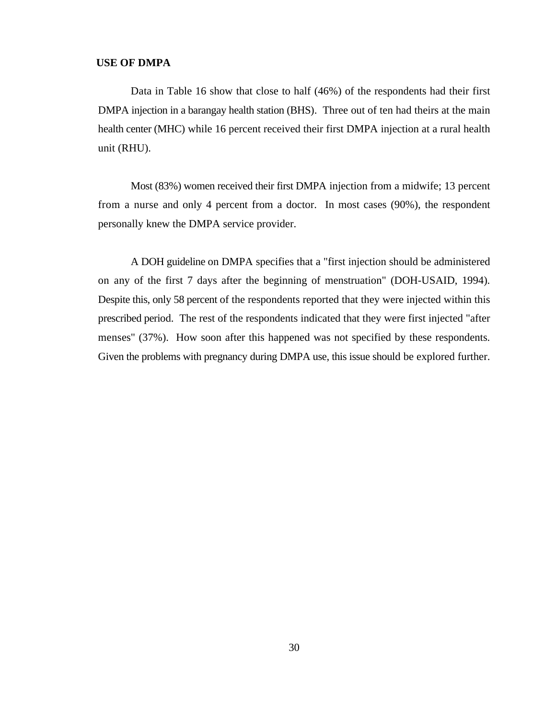# **USE OF DMPA**

Data in Table 16 show that close to half (46%) of the respondents had their first DMPA injection in a barangay health station (BHS). Three out of ten had theirs at the main health center (MHC) while 16 percent received their first DMPA injection at a rural health unit (RHU).

Most (83%) women received their first DMPA injection from a midwife; 13 percent from a nurse and only 4 percent from a doctor. In most cases (90%), the respondent personally knew the DMPA service provider.

A DOH guideline on DMPA specifies that a "first injection should be administered on any of the first 7 days after the beginning of menstruation" (DOH-USAID, 1994). Despite this, only 58 percent of the respondents reported that they were injected within this prescribed period. The rest of the respondents indicated that they were first injected "after menses" (37%). How soon after this happened was not specified by these respondents. Given the problems with pregnancy during DMPA use, this issue should be explored further.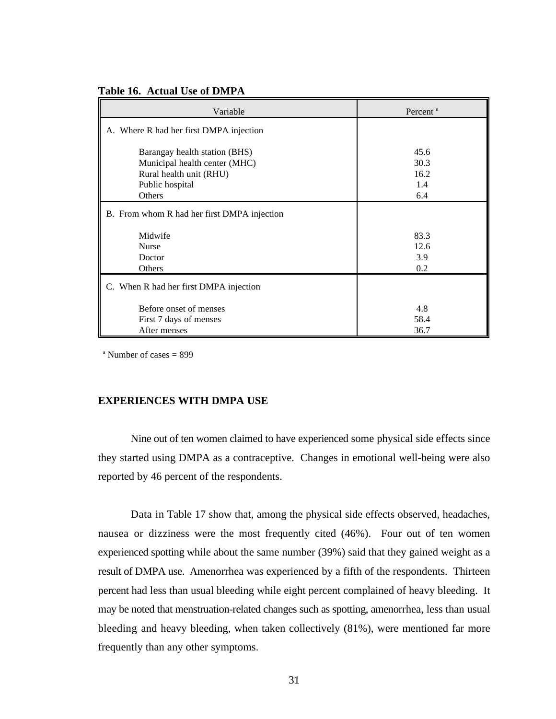| Table 16. Actual Use of DMPA |  |  |  |
|------------------------------|--|--|--|
|------------------------------|--|--|--|

| Variable                                                                                                               | Percent <sup>a</sup>               |
|------------------------------------------------------------------------------------------------------------------------|------------------------------------|
| A. Where R had her first DMPA injection                                                                                |                                    |
| Barangay health station (BHS)<br>Municipal health center (MHC)<br>Rural health unit (RHU)<br>Public hospital<br>Others | 45.6<br>30.3<br>16.2<br>1.4<br>6.4 |
| B. From whom R had her first DMPA injection                                                                            |                                    |
|                                                                                                                        |                                    |
| Midwife                                                                                                                | 83.3                               |
| <b>Nurse</b>                                                                                                           | 12.6                               |
| Doctor                                                                                                                 | 3.9                                |
| Others                                                                                                                 | 0.2                                |
| C. When R had her first DMPA injection                                                                                 |                                    |
| Before onset of menses                                                                                                 | 4.8                                |
| First 7 days of menses                                                                                                 | 58.4                               |
| After menses                                                                                                           | 36.7                               |

 $^{\circ}$  Number of cases = 899

#### **EXPERIENCES WITH DMPA USE**

Nine out of ten women claimed to have experienced some physical side effects since they started using DMPA as a contraceptive. Changes in emotional well-being were also reported by 46 percent of the respondents.

Data in Table 17 show that, among the physical side effects observed, headaches, nausea or dizziness were the most frequently cited (46%). Four out of ten women experienced spotting while about the same number (39%) said that they gained weight as a result of DMPA use. Amenorrhea was experienced by a fifth of the respondents. Thirteen percent had less than usual bleeding while eight percent complained of heavy bleeding. It may be noted that menstruation-related changes such as spotting, amenorrhea, less than usual bleeding and heavy bleeding, when taken collectively (81%), were mentioned far more frequently than any other symptoms.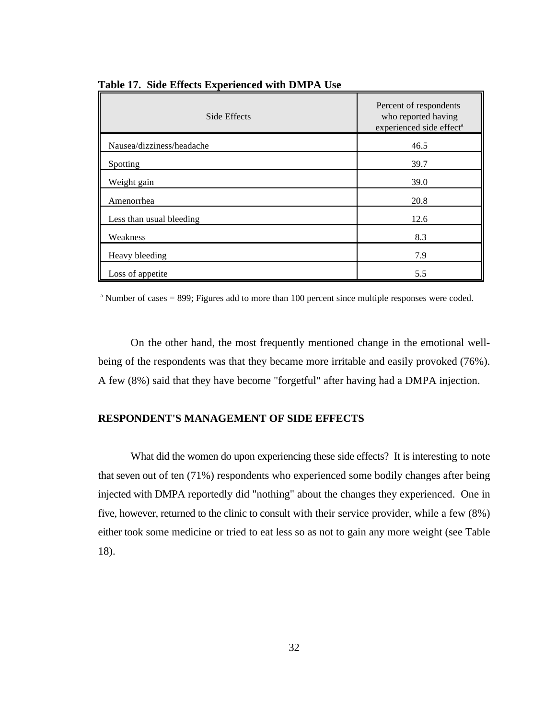| Side Effects              | Percent of respondents<br>who reported having<br>experienced side effect <sup>a</sup> |
|---------------------------|---------------------------------------------------------------------------------------|
| Nausea/dizziness/headache | 46.5                                                                                  |
| Spotting                  | 39.7                                                                                  |
| Weight gain               | 39.0                                                                                  |
| Amenorrhea                | 20.8                                                                                  |
| Less than usual bleeding  | 12.6                                                                                  |
| Weakness                  | 8.3                                                                                   |
| Heavy bleeding            | 7.9                                                                                   |
| Loss of appetite          | 5.5                                                                                   |

**Table 17. Side Effects Experienced with DMPA Use**

 $\alpha$  Number of cases = 899; Figures add to more than 100 percent since multiple responses were coded.

On the other hand, the most frequently mentioned change in the emotional wellbeing of the respondents was that they became more irritable and easily provoked (76%). A few (8%) said that they have become "forgetful" after having had a DMPA injection.

#### **RESPONDENT'S MANAGEMENT OF SIDE EFFECTS**

What did the women do upon experiencing these side effects? It is interesting to note that seven out of ten (71%) respondents who experienced some bodily changes after being injected with DMPA reportedly did "nothing" about the changes they experienced. One in five, however, returned to the clinic to consult with their service provider, while a few (8%) either took some medicine or tried to eat less so as not to gain any more weight (see Table 18).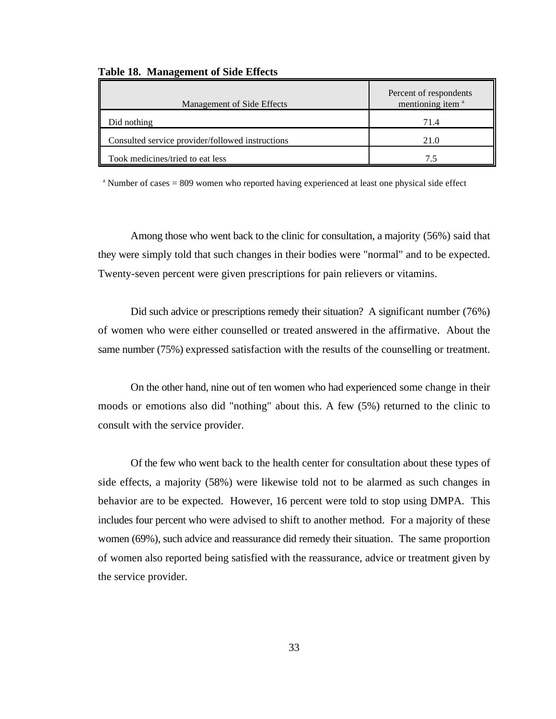| Management of Side Effects                       | Percent of respondents<br>mentioning item <sup>a</sup> |
|--------------------------------------------------|--------------------------------------------------------|
| Did nothing                                      | 71.4                                                   |
| Consulted service provider/followed instructions | 21.0                                                   |
| Took medicines/tried to eat less                 |                                                        |

#### **Table 18. Management of Side Effects**

<sup>a</sup> Number of cases = 809 women who reported having experienced at least one physical side effect

Among those who went back to the clinic for consultation, a majority (56%) said that they were simply told that such changes in their bodies were "normal" and to be expected. Twenty-seven percent were given prescriptions for pain relievers or vitamins.

Did such advice or prescriptions remedy their situation? A significant number (76%) of women who were either counselled or treated answered in the affirmative. About the same number (75%) expressed satisfaction with the results of the counselling or treatment.

On the other hand, nine out of ten women who had experienced some change in their moods or emotions also did "nothing" about this. A few (5%) returned to the clinic to consult with the service provider.

Of the few who went back to the health center for consultation about these types of side effects, a majority (58%) were likewise told not to be alarmed as such changes in behavior are to be expected. However, 16 percent were told to stop using DMPA. This includes four percent who were advised to shift to another method. For a majority of these women (69%), such advice and reassurance did remedy their situation. The same proportion of women also reported being satisfied with the reassurance, advice or treatment given by the service provider.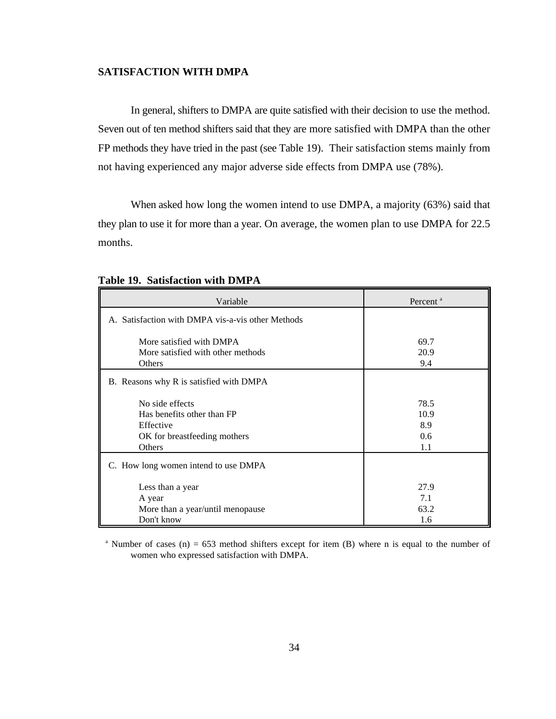## **SATISFACTION WITH DMPA**

In general, shifters to DMPA are quite satisfied with their decision to use the method. Seven out of ten method shifters said that they are more satisfied with DMPA than the other FP methods they have tried in the past (see Table 19). Their satisfaction stems mainly from not having experienced any major adverse side effects from DMPA use (78%).

When asked how long the women intend to use DMPA, a majority (63%) said that they plan to use it for more than a year. On average, the women plan to use DMPA for 22.5 months.

| Variable                                                                                             | Percent <sup>a</sup>                        |
|------------------------------------------------------------------------------------------------------|---------------------------------------------|
| A. Satisfaction with DMPA vis-a-vis other Methods                                                    |                                             |
| More satisfied with DMPA<br>More satisfied with other methods<br>Others                              | 69.7<br>20.9<br>9.4                         |
| B. Reasons why R is satisfied with DMPA                                                              |                                             |
| No side effects<br>Has benefits other than FP<br>Effective<br>OK for breastfeeding mothers<br>Others | 78.5<br>10.9<br>8.9<br>$0.6^{\circ}$<br>1.1 |
| C. How long women intend to use DMPA                                                                 |                                             |
| Less than a year<br>A year<br>More than a year/until menopause<br>Don't know                         | 27.9<br>7.1<br>63.2<br>1.6                  |

#### **Table 19. Satisfaction with DMPA**

<sup>a</sup> Number of cases (n) = 653 method shifters except for item (B) where n is equal to the number of women who expressed satisfaction with DMPA.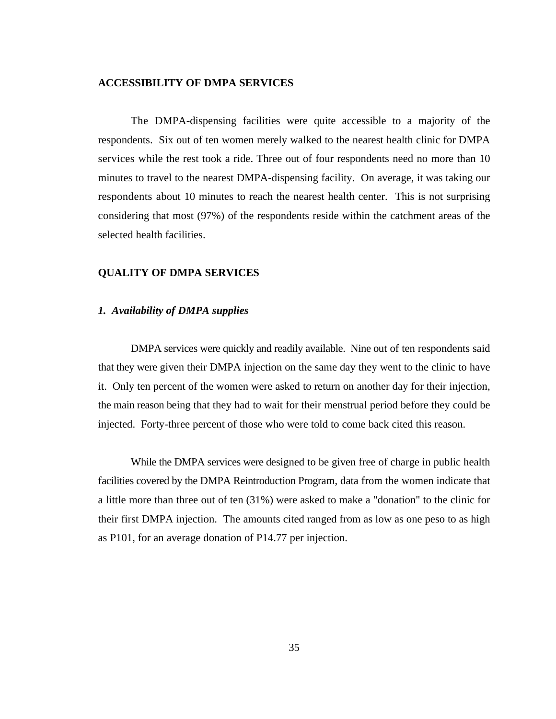#### **ACCESSIBILITY OF DMPA SERVICES**

The DMPA-dispensing facilities were quite accessible to a majority of the respondents. Six out of ten women merely walked to the nearest health clinic for DMPA services while the rest took a ride. Three out of four respondents need no more than 10 minutes to travel to the nearest DMPA-dispensing facility. On average, it was taking our respondents about 10 minutes to reach the nearest health center. This is not surprising considering that most (97%) of the respondents reside within the catchment areas of the selected health facilities.

#### **QUALITY OF DMPA SERVICES**

#### *1. Availability of DMPA supplies*

DMPA services were quickly and readily available. Nine out of ten respondents said that they were given their DMPA injection on the same day they went to the clinic to have it. Only ten percent of the women were asked to return on another day for their injection, the main reason being that they had to wait for their menstrual period before they could be injected. Forty-three percent of those who were told to come back cited this reason.

While the DMPA services were designed to be given free of charge in public health facilities covered by the DMPA Reintroduction Program, data from the women indicate that a little more than three out of ten (31%) were asked to make a "donation" to the clinic for their first DMPA injection. The amounts cited ranged from as low as one peso to as high as P101, for an average donation of P14.77 per injection.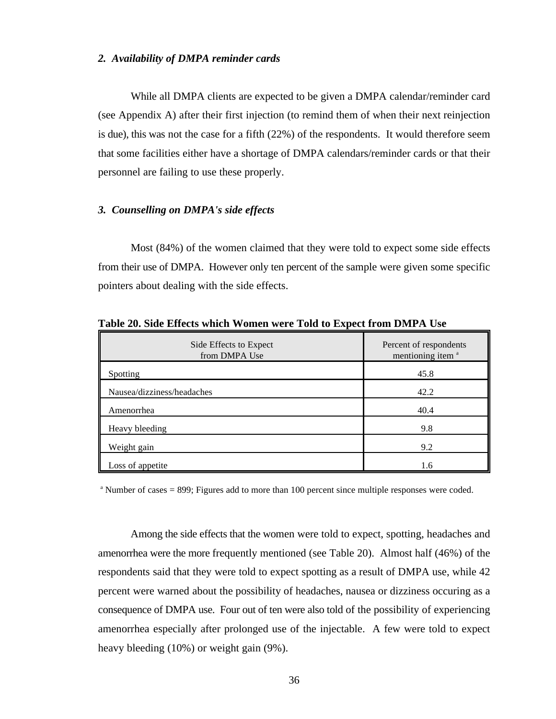#### *2. Availability of DMPA reminder cards*

While all DMPA clients are expected to be given a DMPA calendar/reminder card (see Appendix A) after their first injection (to remind them of when their next reinjection is due), this was not the case for a fifth (22%) of the respondents. It would therefore seem that some facilities either have a shortage of DMPA calendars/reminder cards or that their personnel are failing to use these properly.

### *3. Counselling on DMPA's side effects*

Most (84%) of the women claimed that they were told to expect some side effects from their use of DMPA. However only ten percent of the sample were given some specific pointers about dealing with the side effects.

| Side Effects to Expect<br>from DMPA Use | Percent of respondents<br>mentioning item <sup>a</sup> |
|-----------------------------------------|--------------------------------------------------------|
| Spotting                                | 45.8                                                   |
| Nausea/dizziness/headaches              | 42.2                                                   |
| Amenorrhea                              | 40.4                                                   |
| Heavy bleeding                          | 9.8                                                    |
| Weight gain                             | 9.2                                                    |
| Loss of appetite                        | 1.6                                                    |

**Table 20. Side Effects which Women were Told to Expect from DMPA Use**

 $^{\circ}$  Number of cases = 899; Figures add to more than 100 percent since multiple responses were coded.

Among the side effects that the women were told to expect, spotting, headaches and amenorrhea were the more frequently mentioned (see Table 20). Almost half (46%) of the respondents said that they were told to expect spotting as a result of DMPA use, while 42 percent were warned about the possibility of headaches, nausea or dizziness occuring as a consequence of DMPA use. Four out of ten were also told of the possibility of experiencing amenorrhea especially after prolonged use of the injectable. A few were told to expect heavy bleeding (10%) or weight gain (9%).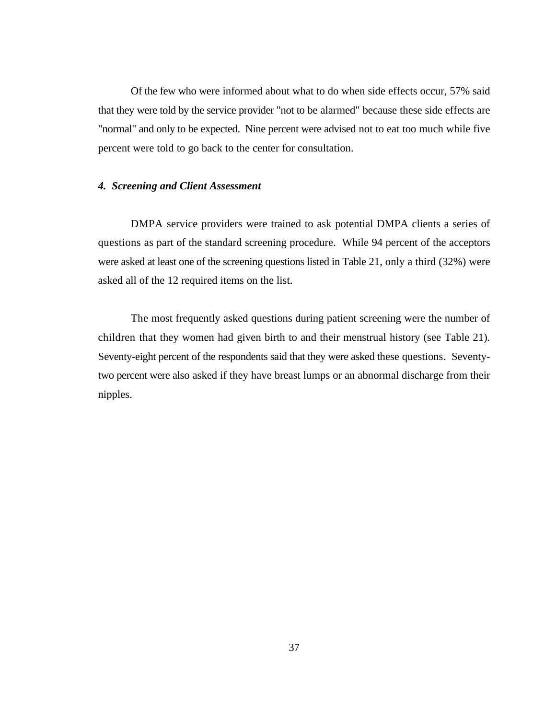Of the few who were informed about what to do when side effects occur, 57% said that they were told by the service provider "not to be alarmed" because these side effects are "normal" and only to be expected. Nine percent were advised not to eat too much while five percent were told to go back to the center for consultation.

#### *4. Screening and Client Assessment*

DMPA service providers were trained to ask potential DMPA clients a series of questions as part of the standard screening procedure. While 94 percent of the acceptors were asked at least one of the screening questions listed in Table 21, only a third (32%) were asked all of the 12 required items on the list.

The most frequently asked questions during patient screening were the number of children that they women had given birth to and their menstrual history (see Table 21). Seventy-eight percent of the respondents said that they were asked these questions. Seventytwo percent were also asked if they have breast lumps or an abnormal discharge from their nipples.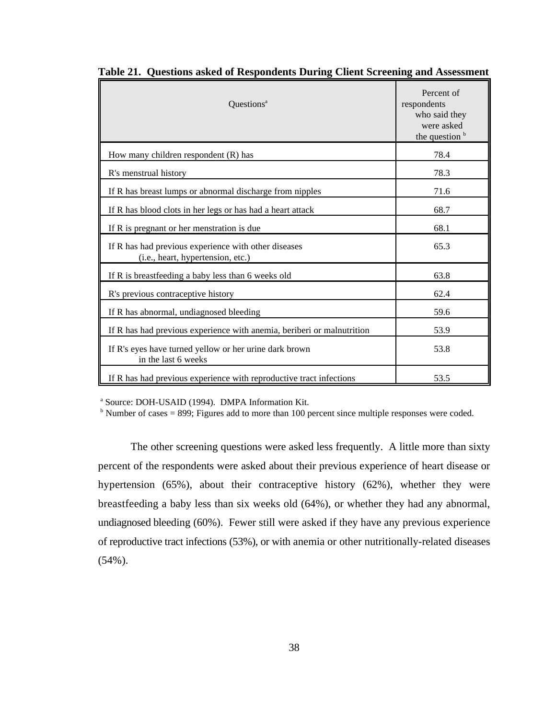| Questions <sup>a</sup>                                                                    | Percent of<br>respondents<br>who said they<br>were asked<br>the question b |
|-------------------------------------------------------------------------------------------|----------------------------------------------------------------------------|
| How many children respondent $(R)$ has                                                    | 78.4                                                                       |
| R's menstrual history                                                                     | 78.3                                                                       |
| If R has breast lumps or abnormal discharge from nipples                                  | 71.6                                                                       |
| If R has blood clots in her legs or has had a heart attack                                | 68.7                                                                       |
| If R is pregnant or her menstration is due                                                | 68.1                                                                       |
| If R has had previous experience with other diseases<br>(i.e., heart, hypertension, etc.) | 65.3                                                                       |
| If R is breastfeeding a baby less than 6 weeks old                                        | 63.8                                                                       |
| R's previous contraceptive history                                                        | 62.4                                                                       |
| If R has abnormal, undiagnosed bleeding                                                   | 59.6                                                                       |
| If R has had previous experience with anemia, beriberi or malnutrition                    | 53.9                                                                       |
| If R's eyes have turned yellow or her urine dark brown<br>in the last 6 weeks             | 53.8                                                                       |
| If R has had previous experience with reproductive tract infections                       | 53.5                                                                       |

**Table 21. Questions asked of Respondents During Client Screening and Assessment**

<sup>a</sup> Source: DOH-USAID (1994). DMPA Information Kit.

 $b$  Number of cases = 899; Figures add to more than 100 percent since multiple responses were coded.

The other screening questions were asked less frequently. A little more than sixty percent of the respondents were asked about their previous experience of heart disease or hypertension (65%), about their contraceptive history (62%), whether they were breastfeeding a baby less than six weeks old (64%), or whether they had any abnormal, undiagnosed bleeding (60%). Fewer still were asked if they have any previous experience of reproductive tract infections (53%), or with anemia or other nutritionally-related diseases  $(54\%)$ .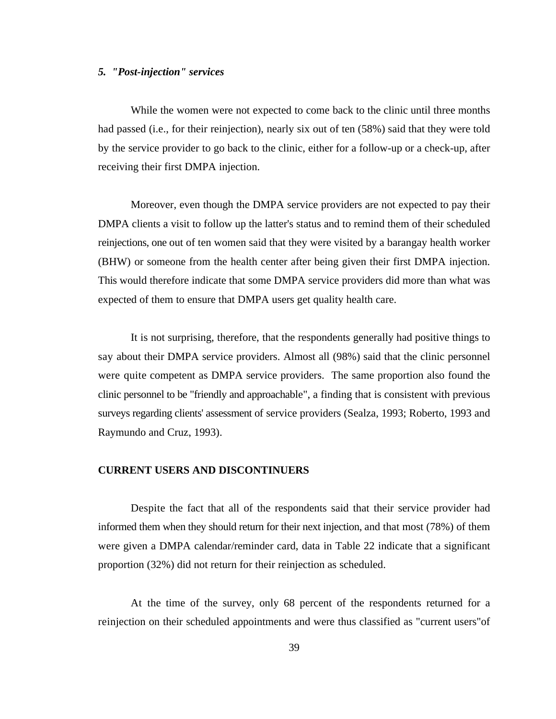#### *5. "Post-injection" services*

While the women were not expected to come back to the clinic until three months had passed (i.e., for their reinjection), nearly six out of ten (58%) said that they were told by the service provider to go back to the clinic, either for a follow-up or a check-up, after receiving their first DMPA injection.

Moreover, even though the DMPA service providers are not expected to pay their DMPA clients a visit to follow up the latter's status and to remind them of their scheduled reinjections, one out of ten women said that they were visited by a barangay health worker (BHW) or someone from the health center after being given their first DMPA injection. This would therefore indicate that some DMPA service providers did more than what was expected of them to ensure that DMPA users get quality health care.

It is not surprising, therefore, that the respondents generally had positive things to say about their DMPA service providers. Almost all (98%) said that the clinic personnel were quite competent as DMPA service providers. The same proportion also found the clinic personnel to be "friendly and approachable", a finding that is consistent with previous surveys regarding clients' assessment of service providers (Sealza, 1993; Roberto, 1993 and Raymundo and Cruz, 1993).

#### **CURRENT USERS AND DISCONTINUERS**

Despite the fact that all of the respondents said that their service provider had informed them when they should return for their next injection, and that most (78%) of them were given a DMPA calendar/reminder card, data in Table 22 indicate that a significant proportion (32%) did not return for their reinjection as scheduled.

At the time of the survey, only 68 percent of the respondents returned for a reinjection on their scheduled appointments and were thus classified as "current users"of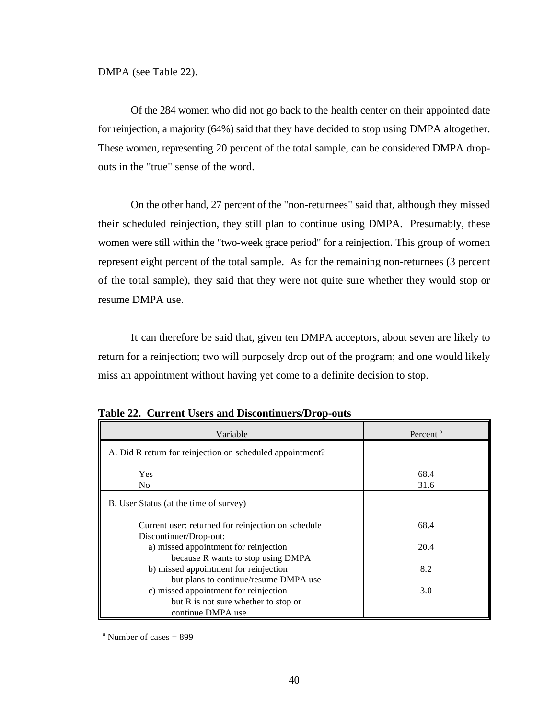Of the 284 women who did not go back to the health center on their appointed date for reinjection, a majority (64%) said that they have decided to stop using DMPA altogether. These women, representing 20 percent of the total sample, can be considered DMPA dropouts in the "true" sense of the word.

On the other hand, 27 percent of the "non-returnees" said that, although they missed their scheduled reinjection, they still plan to continue using DMPA. Presumably, these women were still within the "two-week grace period" for a reinjection. This group of women represent eight percent of the total sample. As for the remaining non-returnees (3 percent of the total sample), they said that they were not quite sure whether they would stop or resume DMPA use.

It can therefore be said that, given ten DMPA acceptors, about seven are likely to return for a reinjection; two will purposely drop out of the program; and one would likely miss an appointment without having yet come to a definite decision to stop.

| Variable                                                                       | Percent <sup>a</sup> |
|--------------------------------------------------------------------------------|----------------------|
| A. Did R return for reinjection on scheduled appointment?                      |                      |
| Yes<br>N <sub>0</sub>                                                          | 68.4<br>31.6         |
| B. User Status (at the time of survey)                                         |                      |
| Current user: returned for reinjection on schedule                             | 68.4                 |
| Discontinuer/Drop-out:<br>a) missed appointment for reinjection                | 20.4                 |
| because R wants to stop using DMPA<br>b) missed appointment for reinjection    | 8.2                  |
| but plans to continue/resume DMPA use<br>c) missed appointment for reinjection | 3.0                  |
| but R is not sure whether to stop or<br>continue DMPA use                      |                      |

**Table 22. Current Users and Discontinuers/Drop-outs**

 $^{\circ}$  Number of cases = 899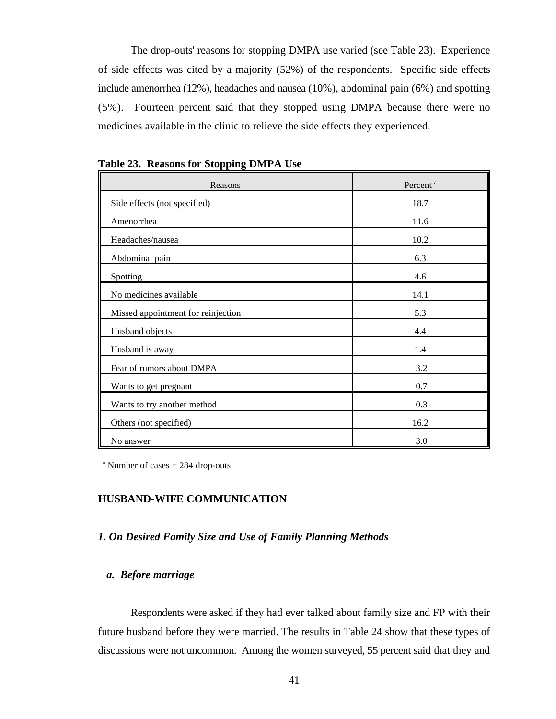The drop-outs' reasons for stopping DMPA use varied (see Table 23). Experience of side effects was cited by a majority (52%) of the respondents. Specific side effects include amenorrhea (12%), headaches and nausea (10%), abdominal pain (6%) and spotting (5%). Fourteen percent said that they stopped using DMPA because there were no medicines available in the clinic to relieve the side effects they experienced.

| Reasons                            | Percent <sup>a</sup> |
|------------------------------------|----------------------|
| Side effects (not specified)       | 18.7                 |
| Amenorrhea                         | 11.6                 |
| Headaches/nausea                   | 10.2                 |
| Abdominal pain                     | 6.3                  |
| Spotting                           | 4.6                  |
| No medicines available             | 14.1                 |
| Missed appointment for reinjection | 5.3                  |
| Husband objects                    | 4.4                  |
| Husband is away                    | 1.4                  |
| Fear of rumors about DMPA          | 3.2                  |
| Wants to get pregnant              | 0.7                  |
| Wants to try another method        | 0.3                  |
| Others (not specified)             | 16.2                 |
| No answer                          | 3.0                  |

**Table 23. Reasons for Stopping DMPA Use**

 $^{\circ}$  Number of cases  $= 284$  drop-outs

#### **HUSBAND-WIFE COMMUNICATION**

#### *1. On Desired Family Size and Use of Family Planning Methods*

#### *a. Before marriage*

Respondents were asked if they had ever talked about family size and FP with their future husband before they were married. The results in Table 24 show that these types of discussions were not uncommon. Among the women surveyed, 55 percent said that they and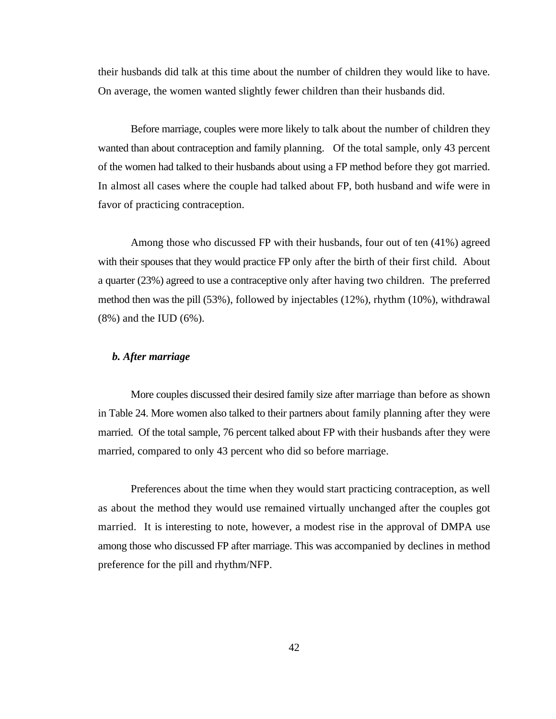their husbands did talk at this time about the number of children they would like to have. On average, the women wanted slightly fewer children than their husbands did.

Before marriage, couples were more likely to talk about the number of children they wanted than about contraception and family planning. Of the total sample, only 43 percent of the women had talked to their husbands about using a FP method before they got married. In almost all cases where the couple had talked about FP, both husband and wife were in favor of practicing contraception.

Among those who discussed FP with their husbands, four out of ten (41%) agreed with their spouses that they would practice FP only after the birth of their first child. About a quarter (23%) agreed to use a contraceptive only after having two children. The preferred method then was the pill (53%), followed by injectables (12%), rhythm (10%), withdrawal (8%) and the IUD (6%).

### *b. After marriage*

More couples discussed their desired family size after marriage than before as shown in Table 24. More women also talked to their partners about family planning after they were married. Of the total sample, 76 percent talked about FP with their husbands after they were married, compared to only 43 percent who did so before marriage.

Preferences about the time when they would start practicing contraception, as well as about the method they would use remained virtually unchanged after the couples got married. It is interesting to note, however, a modest rise in the approval of DMPA use among those who discussed FP after marriage. This was accompanied by declines in method preference for the pill and rhythm/NFP.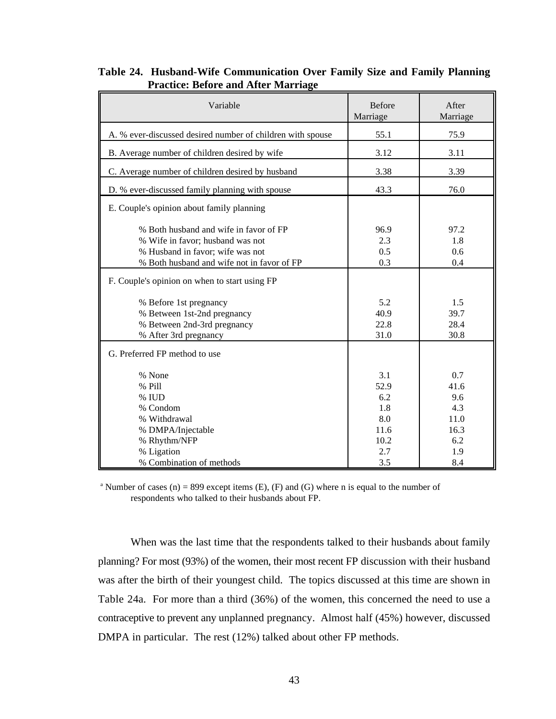| Variable                                                                                                                                                     | <b>Before</b><br>Marriage        | After<br>Marriage                 |
|--------------------------------------------------------------------------------------------------------------------------------------------------------------|----------------------------------|-----------------------------------|
| A. % ever-discussed desired number of children with spouse                                                                                                   | 55.1                             | 75.9                              |
| B. Average number of children desired by wife                                                                                                                | 3.12                             | 3.11                              |
| C. Average number of children desired by husband                                                                                                             | 3.38                             | 3.39                              |
| D. % ever-discussed family planning with spouse                                                                                                              | 43.3                             | 76.0                              |
| E. Couple's opinion about family planning                                                                                                                    |                                  |                                   |
| % Both husband and wife in favor of FP<br>% Wife in favor; husband was not<br>% Husband in favor; wife was not<br>% Both husband and wife not in favor of FP | 96.9<br>2.3<br>0.5<br>0.3        | 97.2<br>1.8<br>0.6<br>0.4         |
| F. Couple's opinion on when to start using FP                                                                                                                |                                  |                                   |
| % Before 1st pregnancy<br>% Between 1st-2nd pregnancy<br>% Between 2nd-3rd pregnancy<br>% After 3rd pregnancy                                                | 5.2<br>40.9<br>22.8<br>31.0      | 1.5<br>39.7<br>28.4<br>30.8       |
| G. Preferred FP method to use                                                                                                                                |                                  |                                   |
| % None<br>% Pill<br>% IUD<br>% Condom<br>% Withdrawal                                                                                                        | 3.1<br>52.9<br>6.2<br>1.8<br>8.0 | 0.7<br>41.6<br>9.6<br>4.3<br>11.0 |
| % DMPA/Injectable<br>% Rhythm/NFP<br>% Ligation<br>% Combination of methods                                                                                  | 11.6<br>10.2<br>2.7<br>3.5       | 16.3<br>6.2<br>1.9<br>8.4         |

## **Table 24. Husband-Wife Communication Over Family Size and Family Planning Practice: Before and After Marriage**

<sup>a</sup> Number of cases (n) = 899 except items (E), (F) and (G) where n is equal to the number of respondents who talked to their husbands about FP.

When was the last time that the respondents talked to their husbands about family planning? For most (93%) of the women, their most recent FP discussion with their husband was after the birth of their youngest child. The topics discussed at this time are shown in Table 24a. For more than a third (36%) of the women, this concerned the need to use a contraceptive to prevent any unplanned pregnancy. Almost half (45%) however, discussed DMPA in particular. The rest (12%) talked about other FP methods.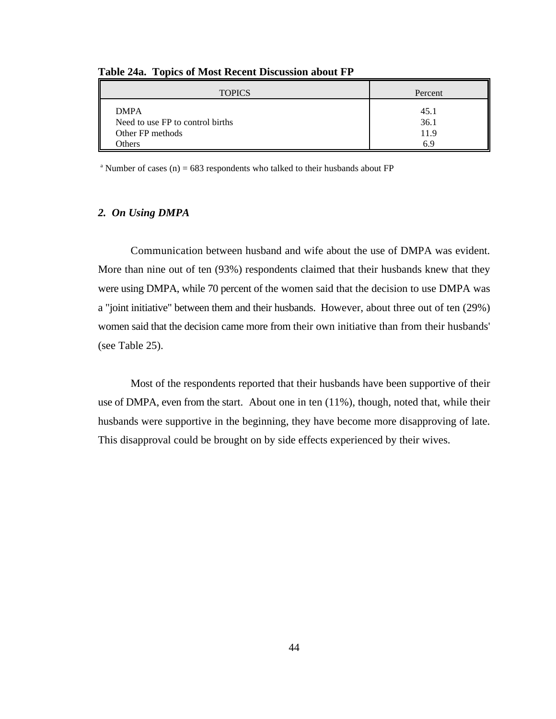| <b>TOPICS</b>                    | Percent |
|----------------------------------|---------|
| <b>DMPA</b>                      | 45.1    |
| Need to use FP to control births | 36.1    |
| Other FP methods                 | 11.9    |
| Others                           | 69      |

**Table 24a. Topics of Most Recent Discussion about FP** 

<sup>a</sup> Number of cases (n) = 683 respondents who talked to their husbands about FP

#### *2. On Using DMPA*

Communication between husband and wife about the use of DMPA was evident. More than nine out of ten (93%) respondents claimed that their husbands knew that they were using DMPA, while 70 percent of the women said that the decision to use DMPA was a "joint initiative" between them and their husbands. However, about three out of ten (29%) women said that the decision came more from their own initiative than from their husbands' (see Table 25).

Most of the respondents reported that their husbands have been supportive of their use of DMPA, even from the start. About one in ten (11%), though, noted that, while their husbands were supportive in the beginning, they have become more disapproving of late. This disapproval could be brought on by side effects experienced by their wives.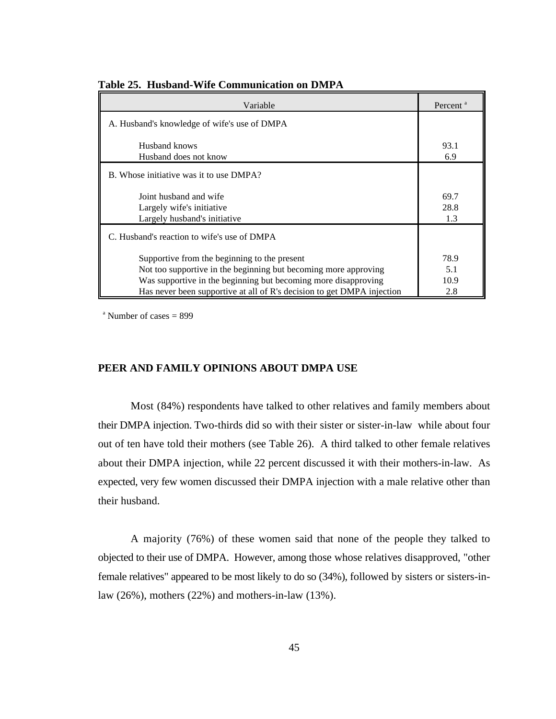| Variable                                                                                                                                                                                                                                                    | Percent <sup>a</sup>       |
|-------------------------------------------------------------------------------------------------------------------------------------------------------------------------------------------------------------------------------------------------------------|----------------------------|
| A. Husband's knowledge of wife's use of DMPA                                                                                                                                                                                                                |                            |
| Husband knows<br>Husband does not know                                                                                                                                                                                                                      | 93.1<br>6.9                |
| B. Whose initiative was it to use DMPA?                                                                                                                                                                                                                     |                            |
| Joint husband and wife<br>Largely wife's initiative<br>Largely husband's initiative                                                                                                                                                                         | 69.7<br>28.8<br>1.3        |
| C. Husband's reaction to wife's use of DMPA                                                                                                                                                                                                                 |                            |
| Supportive from the beginning to the present<br>Not too supportive in the beginning but becoming more approving<br>Was supportive in the beginning but becoming more disapproving<br>Has never been supportive at all of R's decision to get DMPA injection | 78.9<br>5.1<br>10.9<br>2.8 |

**Table 25. Husband-Wife Communication on DMPA**

 $^{\circ}$  Number of cases = 899

#### **PEER AND FAMILY OPINIONS ABOUT DMPA USE**

Most (84%) respondents have talked to other relatives and family members about their DMPA injection. Two-thirds did so with their sister or sister-in-law while about four out of ten have told their mothers (see Table 26). A third talked to other female relatives about their DMPA injection, while 22 percent discussed it with their mothers-in-law. As expected, very few women discussed their DMPA injection with a male relative other than their husband.

A majority (76%) of these women said that none of the people they talked to objected to their use of DMPA. However, among those whose relatives disapproved, "other female relatives" appeared to be most likely to do so (34%), followed by sisters or sisters-inlaw (26%), mothers (22%) and mothers-in-law (13%).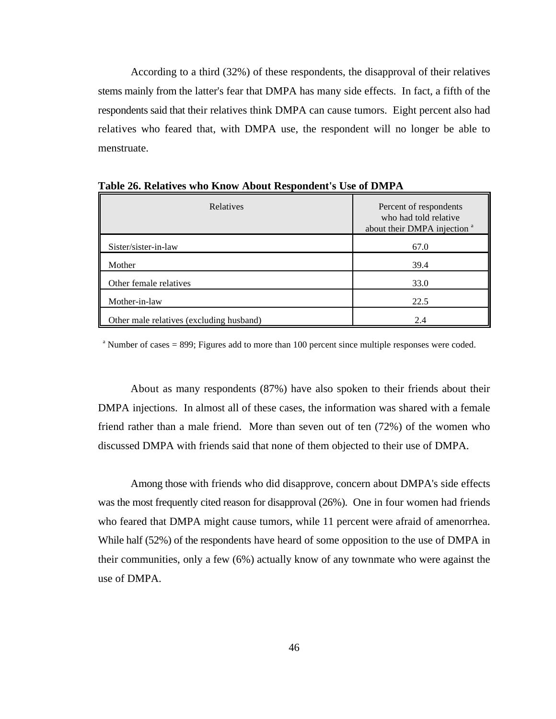According to a third (32%) of these respondents, the disapproval of their relatives stems mainly from the latter's fear that DMPA has many side effects. In fact, a fifth of the respondents said that their relatives think DMPA can cause tumors. Eight percent also had relatives who feared that, with DMPA use, the respondent will no longer be able to menstruate.

| Relatives                                | Percent of respondents<br>who had told relative<br>about their DMPA injection <sup>a</sup> |  |
|------------------------------------------|--------------------------------------------------------------------------------------------|--|
| Sister/sister-in-law                     | 67.0                                                                                       |  |
| Mother                                   | 39.4                                                                                       |  |
| Other female relatives                   | 33.0                                                                                       |  |
| Mother-in-law                            | 22.5                                                                                       |  |
| Other male relatives (excluding husband) | 2.4                                                                                        |  |

**Table 26. Relatives who Know About Respondent's Use of DMPA**

 $\alpha$ <sup>a</sup> Number of cases = 899; Figures add to more than 100 percent since multiple responses were coded.

About as many respondents (87%) have also spoken to their friends about their DMPA injections. In almost all of these cases, the information was shared with a female friend rather than a male friend. More than seven out of ten (72%) of the women who discussed DMPA with friends said that none of them objected to their use of DMPA.

Among those with friends who did disapprove, concern about DMPA's side effects was the most frequently cited reason for disapproval (26%). One in four women had friends who feared that DMPA might cause tumors, while 11 percent were afraid of amenorrhea. While half (52%) of the respondents have heard of some opposition to the use of DMPA in their communities, only a few (6%) actually know of any townmate who were against the use of DMPA.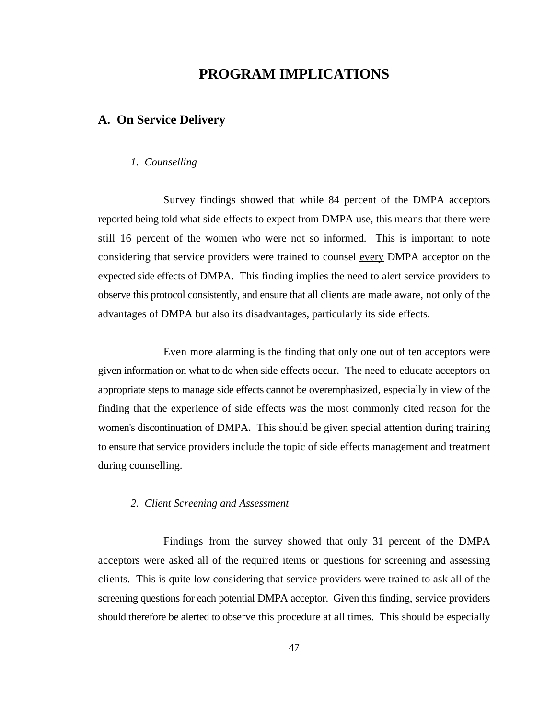# **PROGRAM IMPLICATIONS**

# **A. On Service Delivery**

#### *1. Counselling*

Survey findings showed that while 84 percent of the DMPA acceptors reported being told what side effects to expect from DMPA use, this means that there were still 16 percent of the women who were not so informed. This is important to note considering that service providers were trained to counsel every DMPA acceptor on the expected side effects of DMPA. This finding implies the need to alert service providers to observe this protocol consistently, and ensure that all clients are made aware, not only of the advantages of DMPA but also its disadvantages, particularly its side effects.

Even more alarming is the finding that only one out of ten acceptors were given information on what to do when side effects occur. The need to educate acceptors on appropriate steps to manage side effects cannot be overemphasized, especially in view of the finding that the experience of side effects was the most commonly cited reason for the women's discontinuation of DMPA. This should be given special attention during training to ensure that service providers include the topic of side effects management and treatment during counselling.

#### *2. Client Screening and Assessment*

Findings from the survey showed that only 31 percent of the DMPA acceptors were asked all of the required items or questions for screening and assessing clients. This is quite low considering that service providers were trained to ask all of the screening questions for each potential DMPA acceptor. Given this finding, service providers should therefore be alerted to observe this procedure at all times. This should be especially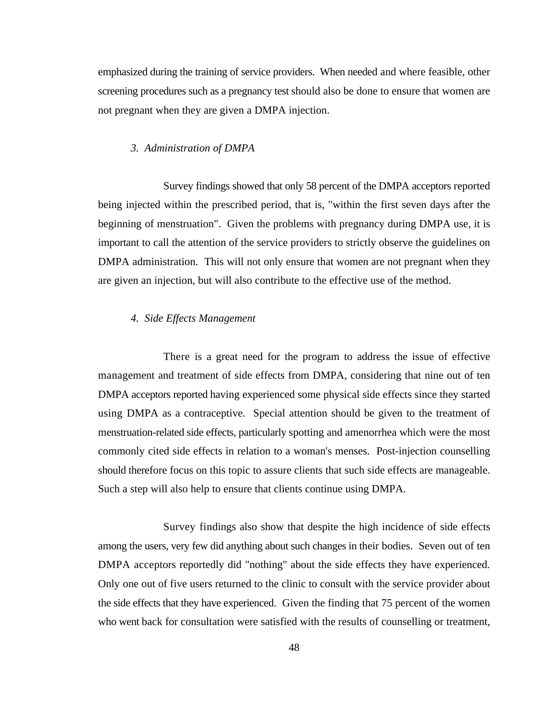emphasized during the training of service providers. When needed and where feasible, other screening procedures such as a pregnancy test should also be done to ensure that women are not pregnant when they are given a DMPA injection.

#### *3. Administration of DMPA*

Survey findings showed that only 58 percent of the DMPA acceptors reported being injected within the prescribed period, that is, "within the first seven days after the beginning of menstruation". Given the problems with pregnancy during DMPA use, it is important to call the attention of the service providers to strictly observe the guidelines on DMPA administration. This will not only ensure that women are not pregnant when they are given an injection, but will also contribute to the effective use of the method.

#### *4. Side Effects Management*

There is a great need for the program to address the issue of effective management and treatment of side effects from DMPA, considering that nine out of ten DMPA acceptors reported having experienced some physical side effects since they started using DMPA as a contraceptive. Special attention should be given to the treatment of menstruation-related side effects, particularly spotting and amenorrhea which were the most commonly cited side effects in relation to a woman's menses. Post-injection counselling should therefore focus on this topic to assure clients that such side effects are manageable. Such a step will also help to ensure that clients continue using DMPA.

Survey findings also show that despite the high incidence of side effects among the users, very few did anything about such changes in their bodies. Seven out of ten DMPA acceptors reportedly did "nothing" about the side effects they have experienced. Only one out of five users returned to the clinic to consult with the service provider about the side effects that they have experienced. Given the finding that 75 percent of the women who went back for consultation were satisfied with the results of counselling or treatment,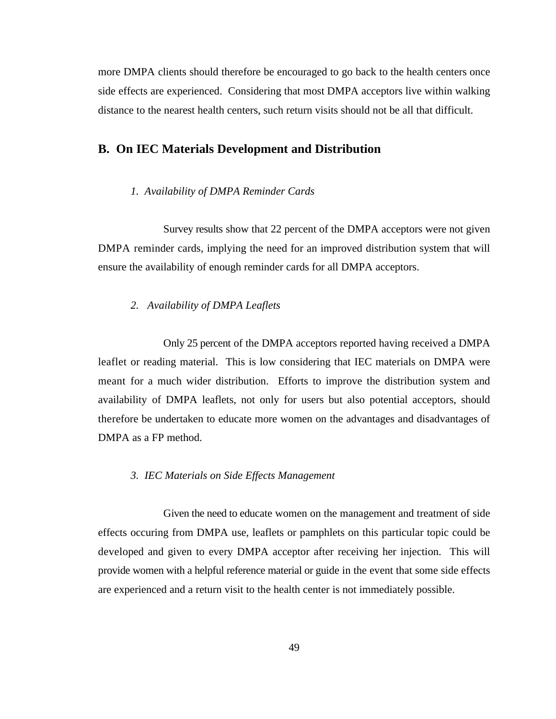more DMPA clients should therefore be encouraged to go back to the health centers once side effects are experienced. Considering that most DMPA acceptors live within walking distance to the nearest health centers, such return visits should not be all that difficult.

## **B. On IEC Materials Development and Distribution**

#### *1. Availability of DMPA Reminder Cards*

Survey results show that 22 percent of the DMPA acceptors were not given DMPA reminder cards, implying the need for an improved distribution system that will ensure the availability of enough reminder cards for all DMPA acceptors.

#### *2. Availability of DMPA Leaflets*

Only 25 percent of the DMPA acceptors reported having received a DMPA leaflet or reading material. This is low considering that IEC materials on DMPA were meant for a much wider distribution. Efforts to improve the distribution system and availability of DMPA leaflets, not only for users but also potential acceptors, should therefore be undertaken to educate more women on the advantages and disadvantages of DMPA as a FP method.

#### *3. IEC Materials on Side Effects Management*

Given the need to educate women on the management and treatment of side effects occuring from DMPA use, leaflets or pamphlets on this particular topic could be developed and given to every DMPA acceptor after receiving her injection. This will provide women with a helpful reference material or guide in the event that some side effects are experienced and a return visit to the health center is not immediately possible.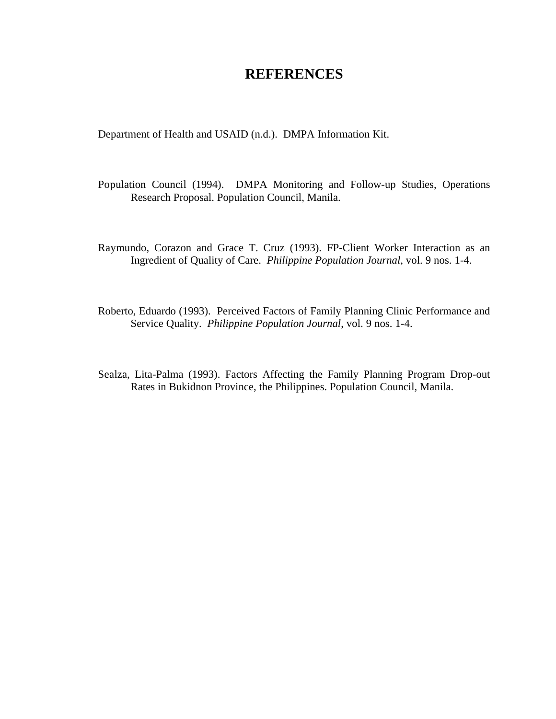# **REFERENCES**

Department of Health and USAID (n.d.). DMPA Information Kit.

- Population Council (1994). DMPA Monitoring and Follow-up Studies, Operations Research Proposal. Population Council, Manila.
- Raymundo, Corazon and Grace T. Cruz (1993). FP-Client Worker Interaction as an Ingredient of Quality of Care. *Philippine Population Journal*, vol. 9 nos. 1-4.
- Roberto, Eduardo (1993). Perceived Factors of Family Planning Clinic Performance and Service Quality. *Philippine Population Journal*, vol. 9 nos. 1-4.
- Sealza, Lita-Palma (1993). Factors Affecting the Family Planning Program Drop-out Rates in Bukidnon Province, the Philippines. Population Council, Manila.